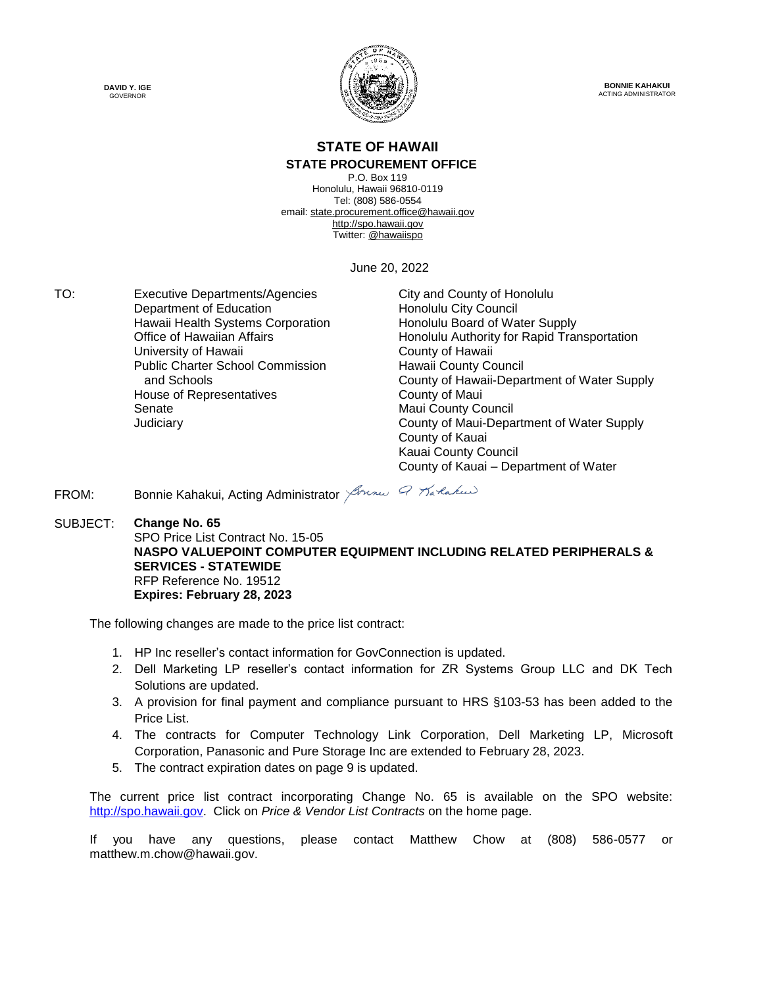



**BONNIE KAHAKUI** ACTING ADMINISTRATOR

#### **STATE OF HAWAII STATE PROCUREMENT OFFICE**

P.O. Box 119 Honolulu, Hawaii 96810-0119 Tel: (808) 586-0554 email[: state.procurement.office@hawaii.gov](mailto:state.procurement.office@hawaii.gov) [http://spo.hawaii.gov](http://spo.hawaii.gov/) Twitter[: @hawaiispo](https://twitter.com/hawaiispo)

June 20, 2022

TO: Executive Departments/Agencies City and County of Honolulu Department of Education **Honolulu City Council** Hawaii Health Systems Corporation **Honolulu Board of Water Supply** University of Hawaii **County of Hawaii** County of Hawaii Public Charter School Commission and Schools House of Representatives **County of Maui** Senate Maui County Council

Office of Hawaiian Affairs **Honolulu Authority for Rapid Transportation** Hawaii County Council County of Hawaii-Department of Water Supply Judiciary County of Maui-Department of Water Supply County of Kauai Kauai County Council County of Kauai – Department of Water

FROM: Bonnie Kahakui, Acting Administrator *Journal Q Tra Raku* 

SUBJECT: **Change No. 65** SPO Price List Contract No. 15-05 **NASPO VALUEPOINT COMPUTER EQUIPMENT INCLUDING RELATED PERIPHERALS & SERVICES - STATEWIDE** RFP Reference No. 19512 **Expires: February 28, 2023**

The following changes are made to the price list contract:

- 1. HP Inc reseller's contact information for GovConnection is updated.
- 2. Dell Marketing LP reseller's contact information for ZR Systems Group LLC and DK Tech Solutions are updated.
- 3. A provision for final payment and compliance pursuant to HRS §103-53 has been added to the Price List.
- 4. The contracts for Computer Technology Link Corporation, Dell Marketing LP, Microsoft Corporation, Panasonic and Pure Storage Inc are extended to February 28, 2023.
- 5. The contract expiration dates on page 9 is updated.

The current price list contract incorporating Change No. 65 is available on the SPO website: [http://spo.hawaii.gov.](http://spo.hawaii.gov/) Click on *Price & Vendor List Contracts* on the home page.

If you have any questions, please contact Matthew Chow at (808) 586-0577 or matthew.m.chow@hawaii.gov.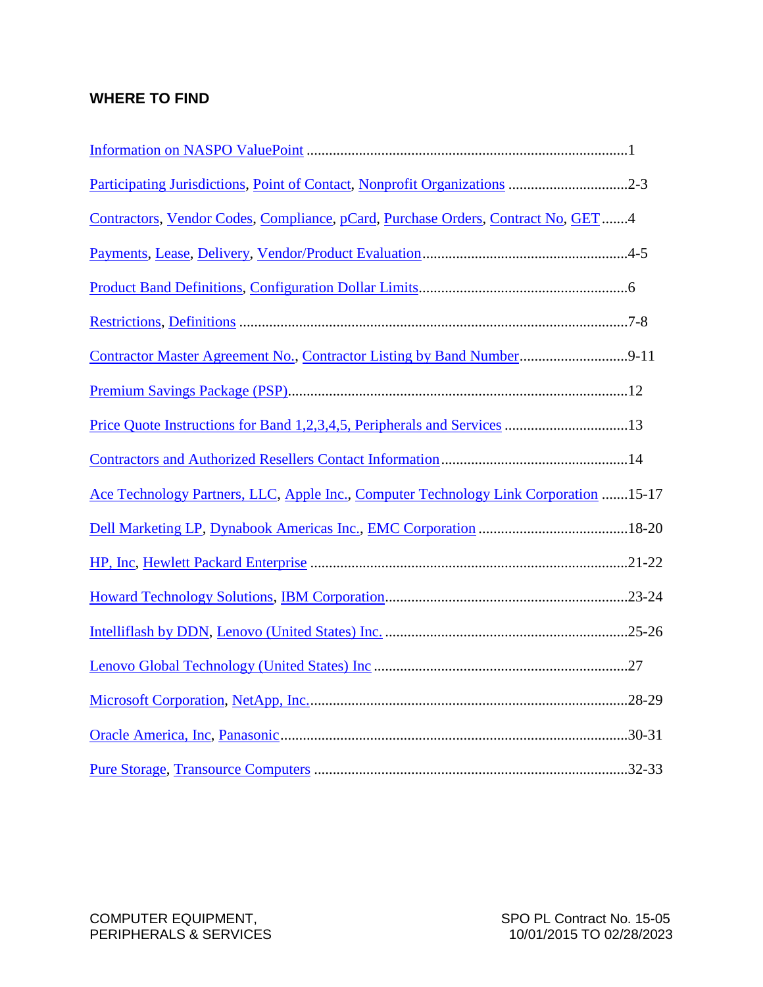## **WHERE TO FIND**

| Participating Jurisdictions, Point of Contact, Nonprofit Organizations 2-3           |  |
|--------------------------------------------------------------------------------------|--|
| Contractors, Vendor Codes, Compliance, pCard, Purchase Orders, Contract No, GET4     |  |
|                                                                                      |  |
|                                                                                      |  |
|                                                                                      |  |
| Contractor Master Agreement No., Contractor Listing by Band Number9-11               |  |
|                                                                                      |  |
|                                                                                      |  |
|                                                                                      |  |
| Ace Technology Partners, LLC, Apple Inc., Computer Technology Link Corporation 15-17 |  |
|                                                                                      |  |
|                                                                                      |  |
|                                                                                      |  |
|                                                                                      |  |
|                                                                                      |  |
|                                                                                      |  |
|                                                                                      |  |
|                                                                                      |  |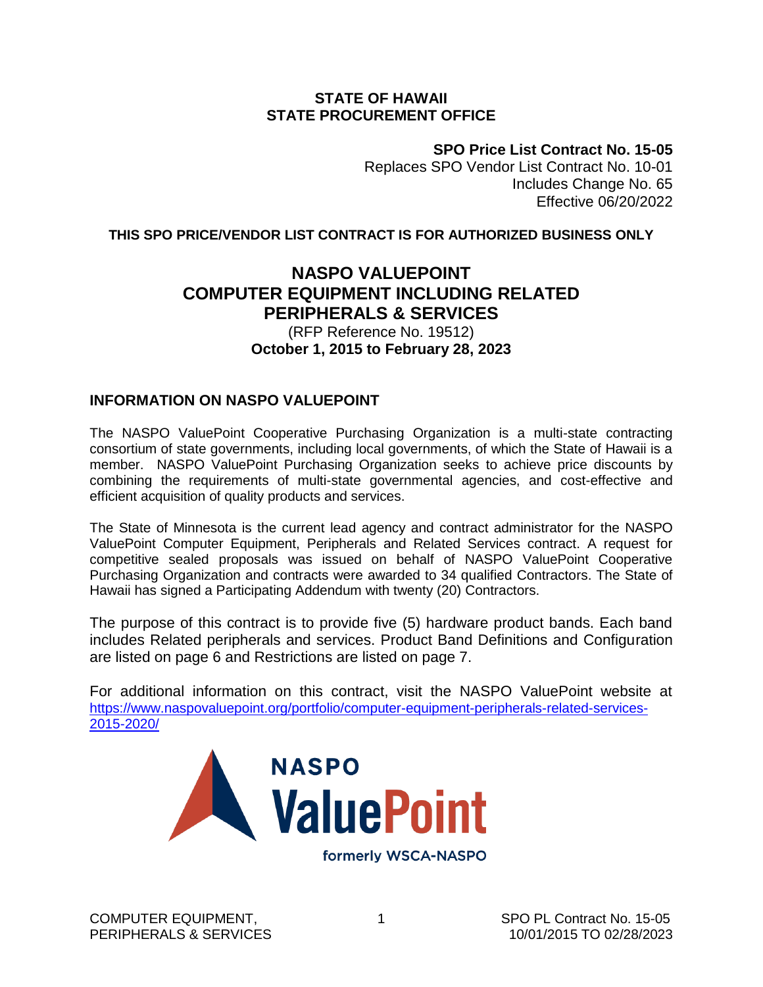#### **STATE OF HAWAII STATE PROCUREMENT OFFICE**

**SPO Price List Contract No. 15-05**

Replaces SPO Vendor List Contract No. 10-01 Includes Change No. 65 Effective 06/20/2022

<span id="page-2-0"></span>**THIS SPO PRICE/VENDOR LIST CONTRACT IS FOR AUTHORIZED BUSINESS ONLY**

## **NASPO VALUEPOINT COMPUTER EQUIPMENT INCLUDING RELATED PERIPHERALS & SERVICES**

#### (RFP Reference No. 19512) **October 1, 2015 to February 28, 2023**

### **INFORMATION ON NASPO VALUEPOINT**

The NASPO ValuePoint Cooperative Purchasing Organization is a multi-state contracting consortium of state governments, including local governments, of which the State of Hawaii is a member. NASPO ValuePoint Purchasing Organization seeks to achieve price discounts by combining the requirements of multi-state governmental agencies, and cost-effective and efficient acquisition of quality products and services.

The State of Minnesota is the current lead agency and contract administrator for the NASPO ValuePoint Computer Equipment, Peripherals and Related Services contract. A request for competitive sealed proposals was issued on behalf of NASPO ValuePoint Cooperative Purchasing Organization and contracts were awarded to 34 qualified Contractors. The State of Hawaii has signed a Participating Addendum with twenty (20) Contractors.

The purpose of this contract is to provide five (5) hardware product bands. Each band includes Related peripherals and services. Product Band Definitions and Configuration are listed on page 6 and Restrictions are listed on page 7.

For additional information on this contract, visit the NASPO ValuePoint website at https://www.naspovaluepoint.org/portfolio/computer-equipment-peripherals-related-services-2015-2020/

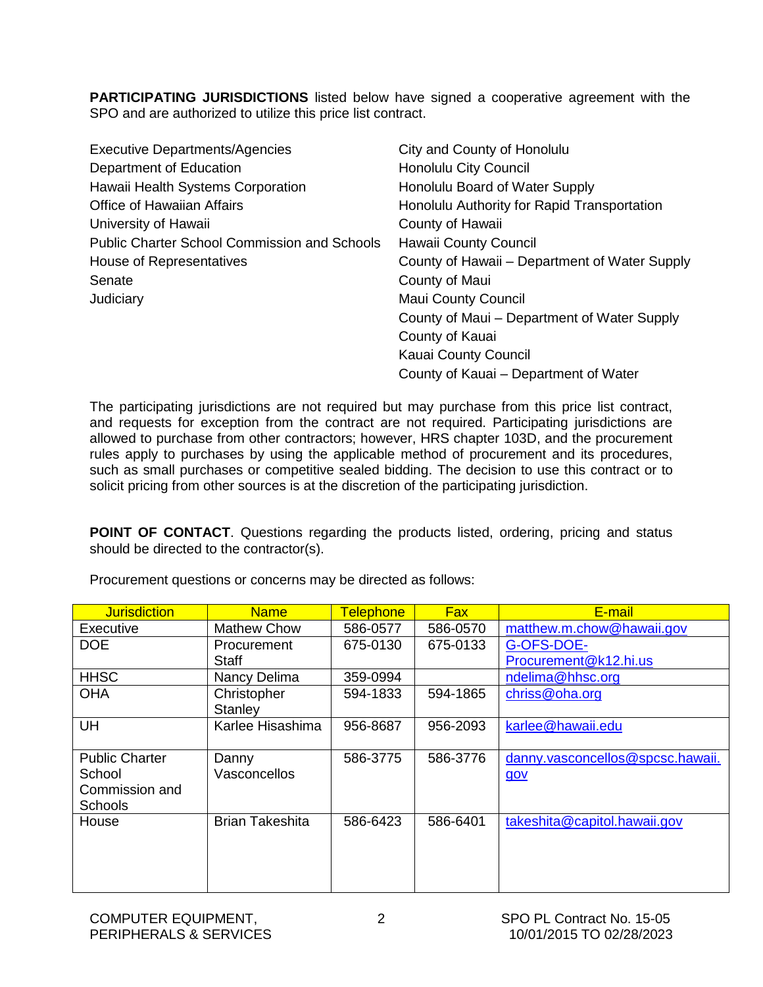<span id="page-3-0"></span>**PARTICIPATING JURISDICTIONS** listed below have signed a cooperative agreement with the SPO and are authorized to utilize this price list contract.

| <b>Executive Departments/Agencies</b>               | City and County of Honolulu                   |
|-----------------------------------------------------|-----------------------------------------------|
| Department of Education                             | <b>Honolulu City Council</b>                  |
| Hawaii Health Systems Corporation                   | Honolulu Board of Water Supply                |
| <b>Office of Hawaiian Affairs</b>                   | Honolulu Authority for Rapid Transportation   |
| University of Hawaii                                | County of Hawaii                              |
| <b>Public Charter School Commission and Schools</b> | Hawaii County Council                         |
| House of Representatives                            | County of Hawaii – Department of Water Supply |
| Senate                                              | County of Maui                                |
| Judiciary                                           | <b>Maui County Council</b>                    |
|                                                     | County of Maui – Department of Water Supply   |
|                                                     | County of Kauai                               |
|                                                     | Kauai County Council                          |
|                                                     | County of Kauai – Department of Water         |

The participating jurisdictions are not required but may purchase from this price list contract, and requests for exception from the contract are not required. Participating jurisdictions are allowed to purchase from other contractors; however, HRS chapter 103D, and the procurement rules apply to purchases by using the applicable method of procurement and its procedures, such as small purchases or competitive sealed bidding. The decision to use this contract or to solicit pricing from other sources is at the discretion of the participating jurisdiction.

**POINT OF CONTACT**. Questions regarding the products listed, ordering, pricing and status should be directed to the contractor(s).

| <b>Jurisdiction</b>   | <b>Name</b>            | <b>Telephone</b> | <b>Fax</b> | E-mail                           |
|-----------------------|------------------------|------------------|------------|----------------------------------|
| Executive             | Mathew Chow            | 586-0577         | 586-0570   | matthew.m.chow@hawaii.gov        |
| <b>DOE</b>            | Procurement            | 675-0130         | 675-0133   | G-OFS-DOE-                       |
|                       | <b>Staff</b>           |                  |            | Procurement@k12.hi.us            |
| <b>HHSC</b>           | Nancy Delima           | 359-0994         |            | ndelima@hhsc.org                 |
| <b>OHA</b>            | Christopher            | 594-1833         | 594-1865   | chriss@oha.org                   |
|                       | Stanley                |                  |            |                                  |
| <b>UH</b>             | Karlee Hisashima       | 956-8687         | 956-2093   | karlee@hawaii.edu                |
|                       |                        |                  |            |                                  |
| <b>Public Charter</b> | Danny                  | 586-3775         | 586-3776   | danny.vasconcellos@spcsc.hawaii. |
| School                | Vasconcellos           |                  |            | gov                              |
| Commission and        |                        |                  |            |                                  |
| <b>Schools</b>        |                        |                  |            |                                  |
| House                 | <b>Brian Takeshita</b> | 586-6423         | 586-6401   | takeshita@capitol.hawaii.gov     |
|                       |                        |                  |            |                                  |
|                       |                        |                  |            |                                  |
|                       |                        |                  |            |                                  |
|                       |                        |                  |            |                                  |

Procurement questions or concerns may be directed as follows: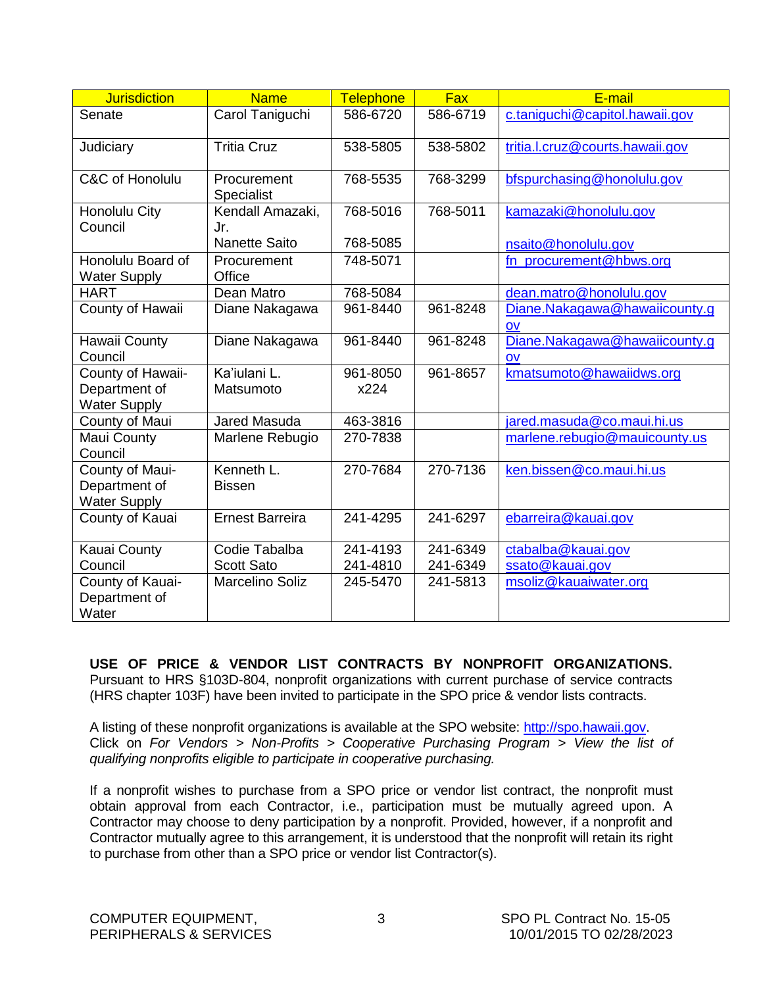<span id="page-4-0"></span>

| <b>Jurisdiction</b>                                       | <b>Name</b>                 | Telephone        | Fax      | E-mail                                                  |
|-----------------------------------------------------------|-----------------------------|------------------|----------|---------------------------------------------------------|
| Senate                                                    | Carol Taniguchi             | 586-6720         | 586-6719 | c.taniguchi@capitol.hawaii.gov                          |
| Judiciary                                                 | <b>Tritia Cruz</b>          | 538-5805         | 538-5802 | tritia.l.cruz@courts.hawaii.gov                         |
| C&C of Honolulu                                           | Procurement<br>Specialist   | 768-5535         | 768-3299 | bfspurchasing@honolulu.gov                              |
| Honolulu City<br>Council                                  | Kendall Amazaki,<br>Jr.     | 768-5016         | 768-5011 | kamazaki@honolulu.gov                                   |
|                                                           | <b>Nanette Saito</b>        | 768-5085         |          | nsaito@honolulu.gov                                     |
| Honolulu Board of<br><b>Water Supply</b>                  | Procurement<br>Office       | 748-5071         |          | fn_procurement@hbws.org                                 |
| <b>HART</b>                                               | Dean Matro                  | 768-5084         |          | dean.matro@honolulu.gov                                 |
| County of Hawaii                                          | Diane Nakagawa              | 961-8440         | 961-8248 | Diane.Nakagawa@hawaiicounty.g<br>OV                     |
| Hawaii County<br>Council                                  | Diane Nakagawa              | 961-8440         | 961-8248 | Diane.Nakagawa@hawaiicounty.g<br>$\mathsf{O}\mathsf{V}$ |
| County of Hawaii-<br>Department of<br><b>Water Supply</b> | Ka'iulani L.<br>Matsumoto   | 961-8050<br>x224 | 961-8657 | kmatsumoto@hawaiidws.org                                |
| County of Maui                                            | <b>Jared Masuda</b>         | 463-3816         |          | jared.masuda@co.maui.hi.us                              |
| Maui County<br>Council                                    | Marlene Rebugio             | 270-7838         |          | marlene.rebugio@mauicounty.us                           |
| County of Maui-<br>Department of<br><b>Water Supply</b>   | Kenneth L.<br><b>Bissen</b> | 270-7684         | 270-7136 | ken.bissen@co.maui.hi.us                                |
| County of Kauai                                           | <b>Ernest Barreira</b>      | 241-4295         | 241-6297 | ebarreira@kauai.gov                                     |
| Kauai County                                              | Codie Tabalba               | 241-4193         | 241-6349 | ctabalba@kauai.gov                                      |
| Council                                                   | <b>Scott Sato</b>           | 241-4810         | 241-6349 | ssato@kauai.gov                                         |
| County of Kauai-<br>Department of<br>Water                | <b>Marcelino Soliz</b>      | 245-5470         | 241-5813 | msoliz@kauaiwater.org                                   |

**USE OF PRICE & VENDOR LIST CONTRACTS BY NONPROFIT ORGANIZATIONS.**  Pursuant to HRS §103D-804, nonprofit organizations with current purchase of service contracts (HRS chapter 103F) have been invited to participate in the SPO price & vendor lists contracts.

A listing of these nonprofit organizations is available at the SPO website: [http://spo.hawaii.gov.](http://spo.hawaii.gov/) Click on *For Vendors > Non-Profits > Cooperative Purchasing Program > View the list of qualifying nonprofits eligible to participate in cooperative purchasing.*

If a nonprofit wishes to purchase from a SPO price or vendor list contract, the nonprofit must obtain approval from each Contractor, i.e., participation must be mutually agreed upon. A Contractor may choose to deny participation by a nonprofit. Provided, however, if a nonprofit and Contractor mutually agree to this arrangement, it is understood that the nonprofit will retain its right to purchase from other than a SPO price or vendor list Contractor(s).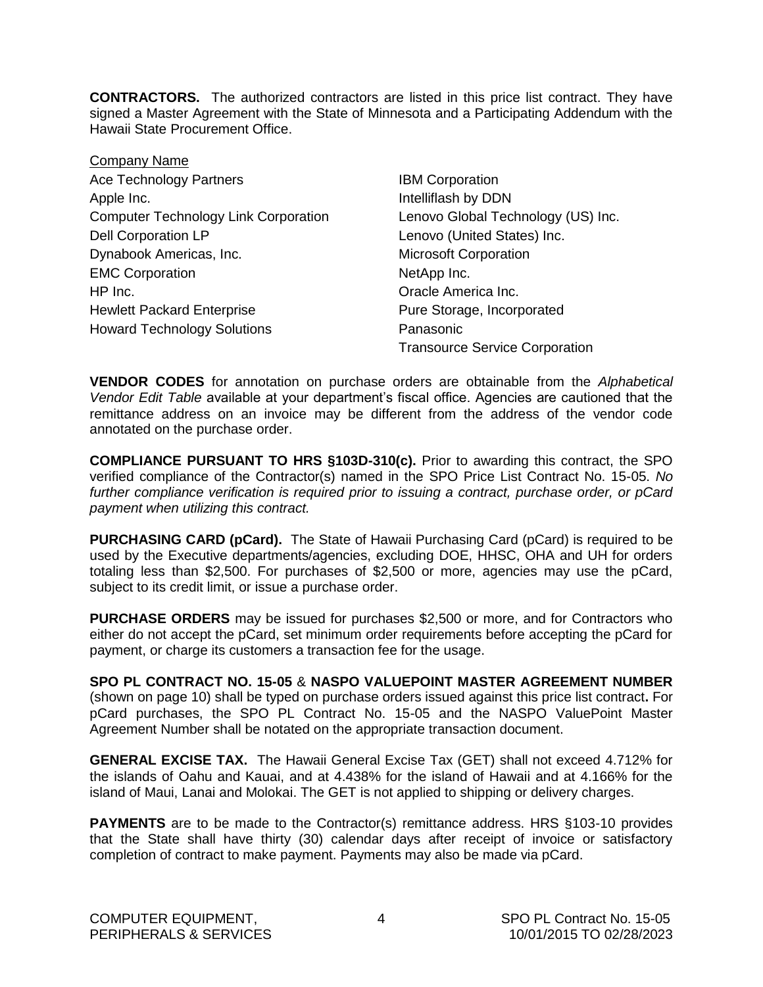<span id="page-5-0"></span>**CONTRACTORS.** The authorized contractors are listed in this price list contract. They have signed a Master Agreement with the State of Minnesota and a Participating Addendum with the Hawaii State Procurement Office.

| Company Name                                |
|---------------------------------------------|
| <b>Ace Technology Partners</b>              |
| Apple Inc.                                  |
| <b>Computer Technology Link Corporation</b> |
| <b>Dell Corporation LP</b>                  |
| Dynabook Americas, Inc.                     |
| <b>EMC Corporation</b>                      |
| HP Inc.                                     |
| <b>Hewlett Packard Enterprise</b>           |
| <b>Howard Technology Solutions</b>          |

**IBM Corporation** Intelliflash by DDN Lenovo Global Technology (US) Inc. Lenovo (United States) Inc. **Microsoft Corporation** NetApp Inc. Oracle America Inc. Pure Storage, Incorporated Panasonic Transource Service Corporation

**VENDOR CODES** for annotation on purchase orders are obtainable from the *Alphabetical Vendor Edit Table* available at your department's fiscal office. Agencies are cautioned that the remittance address on an invoice may be different from the address of the vendor code annotated on the purchase order.

**COMPLIANCE PURSUANT TO HRS §103D-310(c).** Prior to awarding this contract, the SPO verified compliance of the Contractor(s) named in the SPO Price List Contract No. 15-05. *No further compliance verification is required prior to issuing a contract, purchase order, or pCard payment when utilizing this contract.*

**PURCHASING CARD (pCard).** The State of Hawaii Purchasing Card (pCard) is required to be used by the Executive departments/agencies, excluding DOE, HHSC, OHA and UH for orders totaling less than \$2,500. For purchases of \$2,500 or more, agencies may use the pCard, subject to its credit limit, or issue a purchase order.

**PURCHASE ORDERS** may be issued for purchases \$2,500 or more, and for Contractors who either do not accept the pCard, set minimum order requirements before accepting the pCard for payment, or charge its customers a transaction fee for the usage.

**SPO PL CONTRACT NO. 15-05** & **NASPO VALUEPOINT MASTER AGREEMENT NUMBER**  (shown on page 10) shall be typed on purchase orders issued against this price list contract**.** For pCard purchases, the SPO PL Contract No. 15-05 and the NASPO ValuePoint Master Agreement Number shall be notated on the appropriate transaction document.

**GENERAL EXCISE TAX.** The Hawaii General Excise Tax (GET) shall not exceed 4.712% for the islands of Oahu and Kauai, and at 4.438% for the island of Hawaii and at 4.166% for the island of Maui, Lanai and Molokai. The GET is not applied to shipping or delivery charges.

**PAYMENTS** are to be made to the Contractor(s) remittance address. HRS §103-10 provides that the State shall have thirty (30) calendar days after receipt of invoice or satisfactory completion of contract to make payment. Payments may also be made via pCard.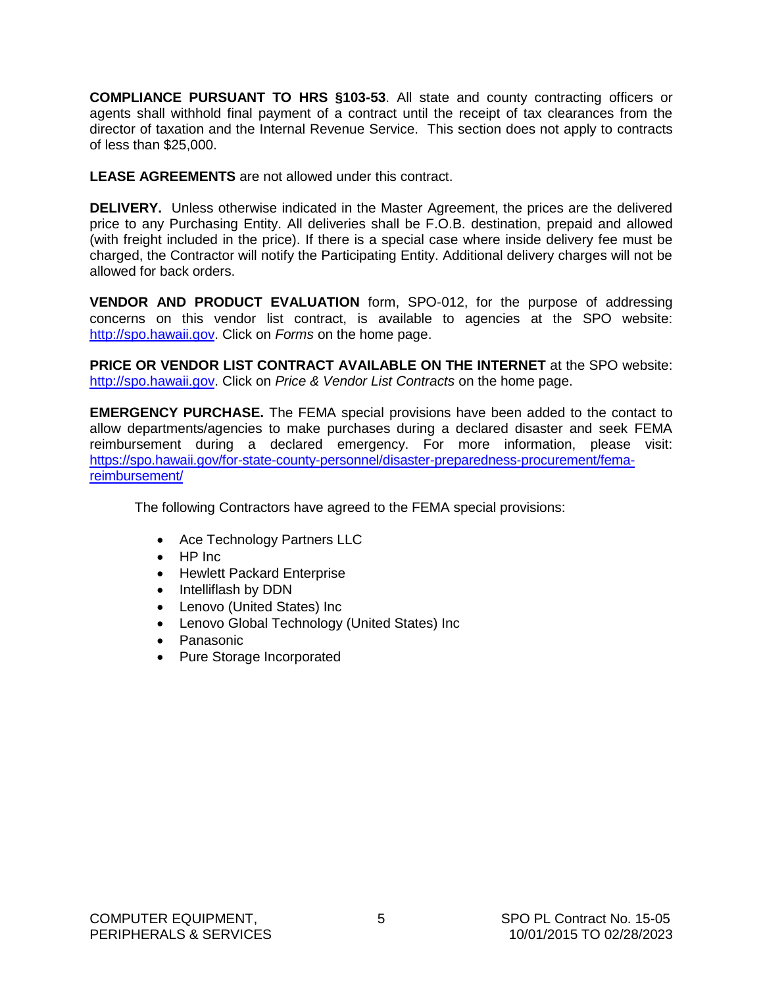<span id="page-6-0"></span>**COMPLIANCE PURSUANT TO HRS §103-53**. All state and county contracting officers or agents shall withhold final payment of a contract until the receipt of tax clearances from the director of taxation and the Internal Revenue Service. This section does not apply to contracts of less than \$25,000.

**LEASE AGREEMENTS** are not allowed under this contract.

**DELIVERY.** Unless otherwise indicated in the Master Agreement, the prices are the delivered price to any Purchasing Entity. All deliveries shall be F.O.B. destination, prepaid and allowed (with freight included in the price). If there is a special case where inside delivery fee must be charged, the Contractor will notify the Participating Entity. Additional delivery charges will not be allowed for back orders.

**VENDOR AND PRODUCT EVALUATION** form, SPO-012, for the purpose of addressing concerns on this vendor list contract, is available to agencies at the SPO website: [http://spo.hawaii.gov.](http://spo.hawaii.gov/) Click on *Forms* on the home page.

**PRICE OR VENDOR LIST CONTRACT AVAILABLE ON THE INTERNET** at the SPO website: [http://spo.hawaii.gov.](http://spo.hawaii.gov/) Click on *Price & Vendor List Contracts* on the home page.

**EMERGENCY PURCHASE.** The FEMA special provisions have been added to the contact to allow departments/agencies to make purchases during a declared disaster and seek FEMA reimbursement during a declared emergency. For more information, please visit: [https://spo.hawaii.gov/for-state-county-personnel/disaster-preparedness-procurement/fema](https://spo.hawaii.gov/for-state-county-personnel/disaster-preparedness-procurement/fema-reimbursement/)[reimbursement/](https://spo.hawaii.gov/for-state-county-personnel/disaster-preparedness-procurement/fema-reimbursement/)

The following Contractors have agreed to the FEMA special provisions:

- Ace Technology Partners LLC
- HP Inc
- Hewlett Packard Enterprise
- Intelliflash by DDN
- Lenovo (United States) Inc
- Lenovo Global Technology (United States) Inc
- Panasonic
- Pure Storage Incorporated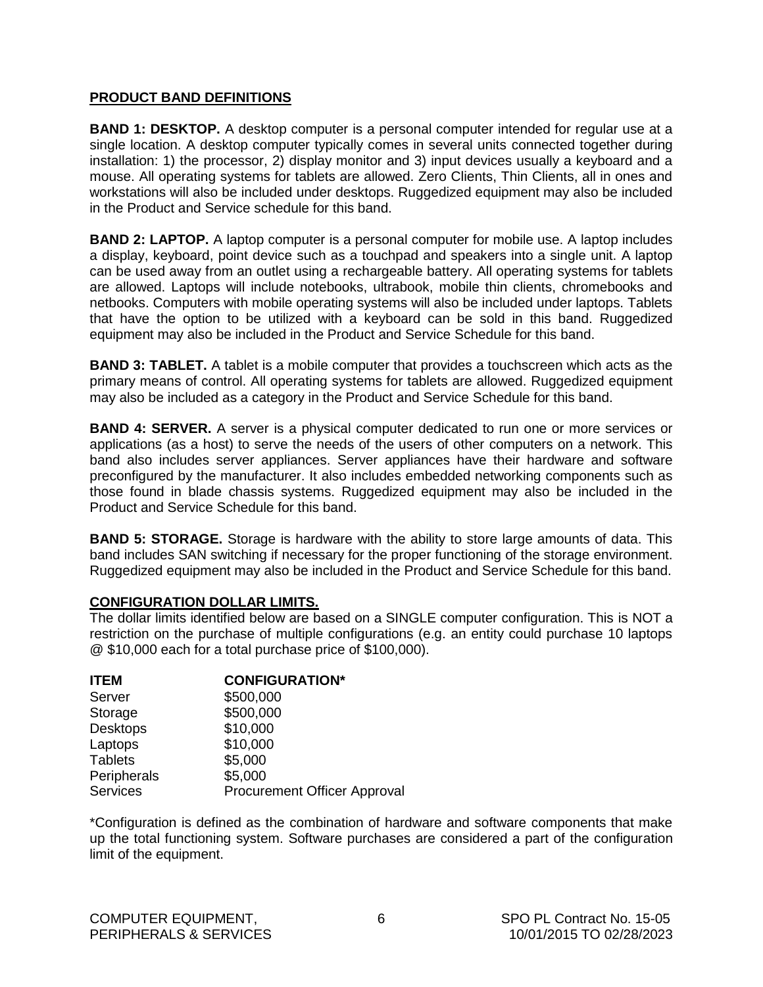#### <span id="page-7-0"></span>**PRODUCT BAND DEFINITIONS**

**BAND 1: DESKTOP.** A desktop computer is a personal computer intended for regular use at a single location. A desktop computer typically comes in several units connected together during installation: 1) the processor, 2) display monitor and 3) input devices usually a keyboard and a mouse. All operating systems for tablets are allowed. Zero Clients, Thin Clients, all in ones and workstations will also be included under desktops. Ruggedized equipment may also be included in the Product and Service schedule for this band.

**BAND 2: LAPTOP.** A laptop computer is a personal computer for mobile use. A laptop includes a display, keyboard, point device such as a touchpad and speakers into a single unit. A laptop can be used away from an outlet using a rechargeable battery. All operating systems for tablets are allowed. Laptops will include notebooks, ultrabook, mobile thin clients, chromebooks and netbooks. Computers with mobile operating systems will also be included under laptops. Tablets that have the option to be utilized with a keyboard can be sold in this band. Ruggedized equipment may also be included in the Product and Service Schedule for this band.

**BAND 3: TABLET.** A tablet is a mobile computer that provides a touchscreen which acts as the primary means of control. All operating systems for tablets are allowed. Ruggedized equipment may also be included as a category in the Product and Service Schedule for this band.

**BAND 4: SERVER.** A server is a physical computer dedicated to run one or more services or applications (as a host) to serve the needs of the users of other computers on a network. This band also includes server appliances. Server appliances have their hardware and software preconfigured by the manufacturer. It also includes embedded networking components such as those found in blade chassis systems. Ruggedized equipment may also be included in the Product and Service Schedule for this band.

**BAND 5: STORAGE.** Storage is hardware with the ability to store large amounts of data. This band includes SAN switching if necessary for the proper functioning of the storage environment. Ruggedized equipment may also be included in the Product and Service Schedule for this band.

#### **CONFIGURATION DOLLAR LIMITS.**

The dollar limits identified below are based on a SINGLE computer configuration. This is NOT a restriction on the purchase of multiple configurations (e.g. an entity could purchase 10 laptops @ \$10,000 each for a total purchase price of \$100,000).

| <b>ITEM</b>     | <b>CONFIGURATION*</b>               |
|-----------------|-------------------------------------|
| Server          | \$500,000                           |
| Storage         | \$500,000                           |
| <b>Desktops</b> | \$10,000                            |
| Laptops         | \$10,000                            |
| <b>Tablets</b>  | \$5,000                             |
| Peripherals     | \$5,000                             |
| <b>Services</b> | <b>Procurement Officer Approval</b> |

\*Configuration is defined as the combination of hardware and software components that make up the total functioning system. Software purchases are considered a part of the configuration limit of the equipment.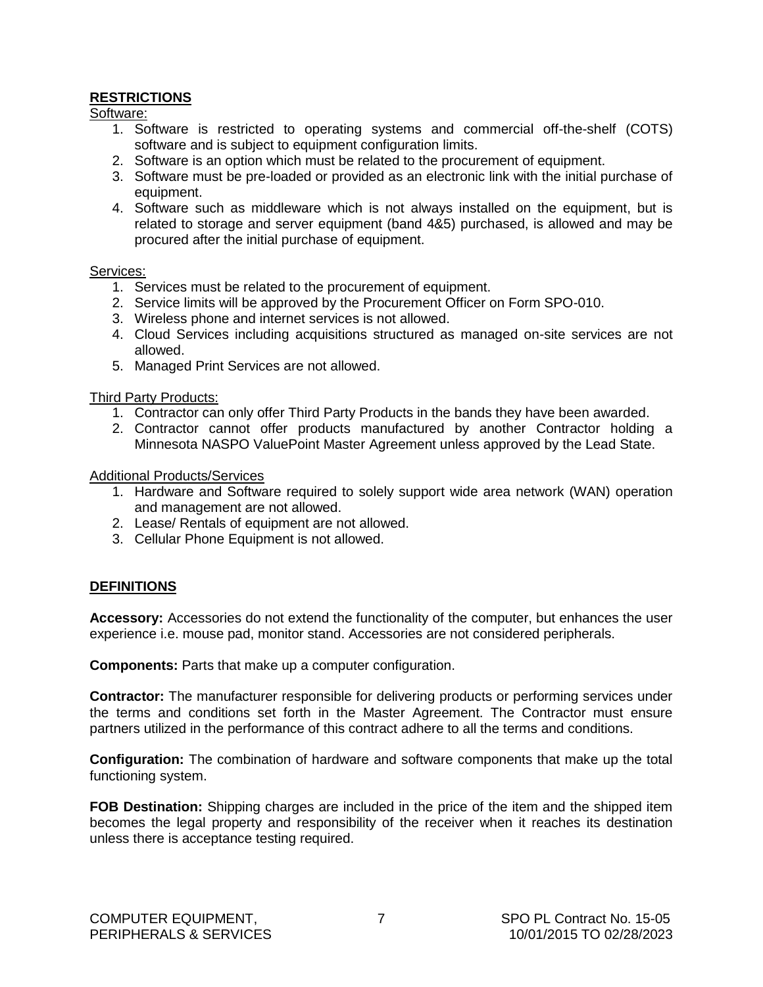#### <span id="page-8-0"></span>**RESTRICTIONS**

Software:

- 1. Software is restricted to operating systems and commercial off-the-shelf (COTS) software and is subject to equipment configuration limits.
- 2. Software is an option which must be related to the procurement of equipment.
- 3. Software must be pre-loaded or provided as an electronic link with the initial purchase of equipment.
- 4. Software such as middleware which is not always installed on the equipment, but is related to storage and server equipment (band 4&5) purchased, is allowed and may be procured after the initial purchase of equipment.

#### Services:

- 1. Services must be related to the procurement of equipment.
- 2. Service limits will be approved by the Procurement Officer on Form SPO-010.
- 3. Wireless phone and internet services is not allowed.
- 4. Cloud Services including acquisitions structured as managed on-site services are not allowed.
- 5. Managed Print Services are not allowed.

#### Third Party Products:

- 1. Contractor can only offer Third Party Products in the bands they have been awarded.
- 2. Contractor cannot offer products manufactured by another Contractor holding a Minnesota NASPO ValuePoint Master Agreement unless approved by the Lead State.

#### Additional Products/Services

- 1. Hardware and Software required to solely support wide area network (WAN) operation and management are not allowed.
- 2. Lease/ Rentals of equipment are not allowed.
- 3. Cellular Phone Equipment is not allowed.

#### **DEFINITIONS**

**Accessory:** Accessories do not extend the functionality of the computer, but enhances the user experience i.e. mouse pad, monitor stand. Accessories are not considered peripherals.

**Components:** Parts that make up a computer configuration.

**Contractor:** The manufacturer responsible for delivering products or performing services under the terms and conditions set forth in the Master Agreement. The Contractor must ensure partners utilized in the performance of this contract adhere to all the terms and conditions.

**Configuration:** The combination of hardware and software components that make up the total functioning system.

**FOB Destination:** Shipping charges are included in the price of the item and the shipped item becomes the legal property and responsibility of the receiver when it reaches its destination unless there is acceptance testing required.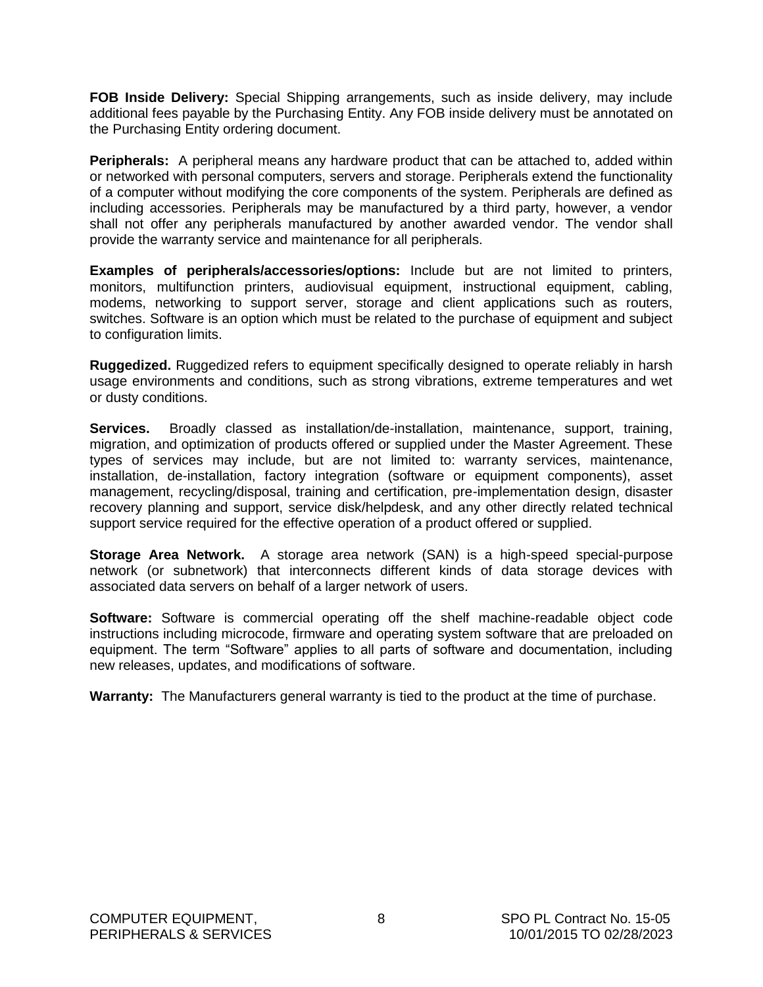**FOB Inside Delivery:** Special Shipping arrangements, such as inside delivery, may include additional fees payable by the Purchasing Entity. Any FOB inside delivery must be annotated on the Purchasing Entity ordering document.

**Peripherals:** A peripheral means any hardware product that can be attached to, added within or networked with personal computers, servers and storage. Peripherals extend the functionality of a computer without modifying the core components of the system. Peripherals are defined as including accessories. Peripherals may be manufactured by a third party, however, a vendor shall not offer any peripherals manufactured by another awarded vendor. The vendor shall provide the warranty service and maintenance for all peripherals.

**Examples of peripherals/accessories/options:** Include but are not limited to printers, monitors, multifunction printers, audiovisual equipment, instructional equipment, cabling, modems, networking to support server, storage and client applications such as routers, switches. Software is an option which must be related to the purchase of equipment and subject to configuration limits.

**Ruggedized.** Ruggedized refers to equipment specifically designed to operate reliably in harsh usage environments and conditions, such as strong vibrations, extreme temperatures and wet or dusty conditions.

**Services.** Broadly classed as installation/de-installation, maintenance, support, training, migration, and optimization of products offered or supplied under the Master Agreement. These types of services may include, but are not limited to: warranty services, maintenance, installation, de-installation, factory integration (software or equipment components), asset management, recycling/disposal, training and certification, pre-implementation design, disaster recovery planning and support, service disk/helpdesk, and any other directly related technical support service required for the effective operation of a product offered or supplied.

**Storage Area Network.** A storage area network (SAN) is a high-speed special-purpose network (or subnetwork) that interconnects different kinds of data storage devices with associated data servers on behalf of a larger network of users.

**Software:** Software is commercial operating off the shelf machine-readable object code instructions including microcode, firmware and operating system software that are preloaded on equipment. The term "Software" applies to all parts of software and documentation, including new releases, updates, and modifications of software.

**Warranty:** The Manufacturers general warranty is tied to the product at the time of purchase.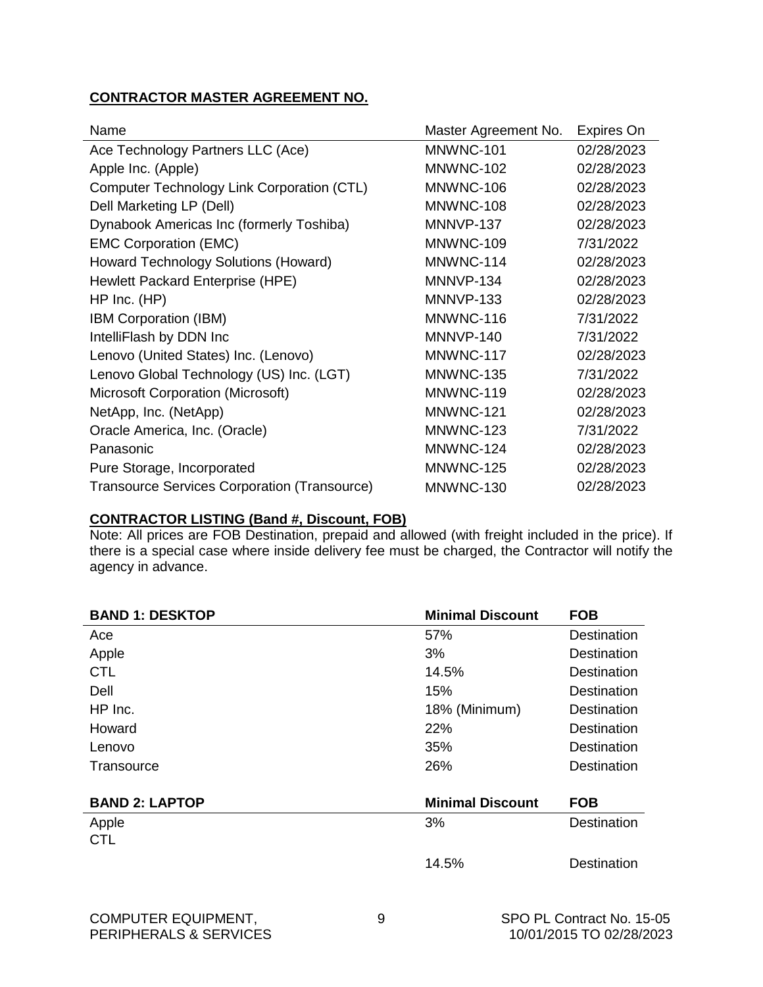#### <span id="page-10-0"></span>**CONTRACTOR MASTER AGREEMENT NO.**

| Name                                                | Master Agreement No. | <b>Expires On</b> |
|-----------------------------------------------------|----------------------|-------------------|
| Ace Technology Partners LLC (Ace)                   | MNWNC-101            | 02/28/2023        |
| Apple Inc. (Apple)                                  | MNWNC-102            | 02/28/2023        |
| Computer Technology Link Corporation (CTL)          | MNWNC-106            | 02/28/2023        |
| Dell Marketing LP (Dell)                            | MNWNC-108            | 02/28/2023        |
| Dynabook Americas Inc (formerly Toshiba)            | MNNVP-137            | 02/28/2023        |
| <b>EMC Corporation (EMC)</b>                        | MNWNC-109            | 7/31/2022         |
| Howard Technology Solutions (Howard)                | MNWNC-114            | 02/28/2023        |
| Hewlett Packard Enterprise (HPE)                    | MNNVP-134            | 02/28/2023        |
| $HP$ Inc. $(HP)$                                    | MNNVP-133            | 02/28/2023        |
| <b>IBM Corporation (IBM)</b>                        | MNWNC-116            | 7/31/2022         |
| IntelliFlash by DDN Inc                             | MNNVP-140            | 7/31/2022         |
| Lenovo (United States) Inc. (Lenovo)                | MNWNC-117            | 02/28/2023        |
| Lenovo Global Technology (US) Inc. (LGT)            | MNWNC-135            | 7/31/2022         |
| Microsoft Corporation (Microsoft)                   | MNWNC-119            | 02/28/2023        |
| NetApp, Inc. (NetApp)                               | MNWNC-121            | 02/28/2023        |
| Oracle America, Inc. (Oracle)                       | MNWNC-123            | 7/31/2022         |
| Panasonic                                           | MNWNC-124            | 02/28/2023        |
| Pure Storage, Incorporated                          | MNWNC-125            | 02/28/2023        |
| <b>Transource Services Corporation (Transource)</b> | MNWNC-130            | 02/28/2023        |

#### **CONTRACTOR LISTING (Band #, Discount, FOB)**

Note: All prices are FOB Destination, prepaid and allowed (with freight included in the price). If there is a special case where inside delivery fee must be charged, the Contractor will notify the agency in advance.

| <b>BAND 1: DESKTOP</b> | <b>Minimal Discount</b> | <b>FOB</b>         |
|------------------------|-------------------------|--------------------|
| Ace                    | 57%                     | <b>Destination</b> |
| Apple                  | 3%                      | <b>Destination</b> |
| <b>CTL</b>             | 14.5%                   | <b>Destination</b> |
| Dell                   | 15%                     | <b>Destination</b> |
| HP Inc.                | 18% (Minimum)           | <b>Destination</b> |
| Howard                 | 22%                     | <b>Destination</b> |
| Lenovo                 | 35%                     | <b>Destination</b> |
| Transource             | 26%                     | <b>Destination</b> |
| <b>BAND 2: LAPTOP</b>  | <b>Minimal Discount</b> | <b>FOB</b>         |
| Apple                  | 3%                      | <b>Destination</b> |
| <b>CTL</b>             |                         |                    |
|                        | 14.5%                   | <b>Destination</b> |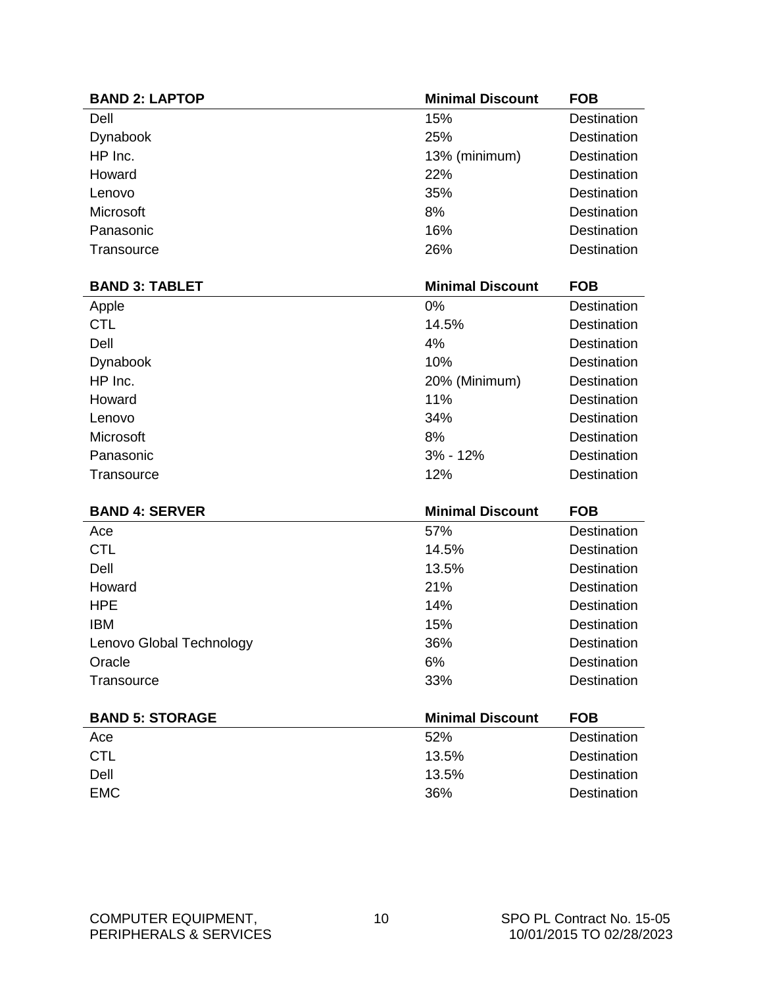| <b>BAND 2: LAPTOP</b>    | <b>Minimal Discount</b> | <b>FOB</b>         |
|--------------------------|-------------------------|--------------------|
| Dell                     | 15%                     | Destination        |
| Dynabook                 | 25%                     | Destination        |
| HP Inc.                  | 13% (minimum)           | <b>Destination</b> |
| Howard                   | 22%                     | Destination        |
| Lenovo                   | 35%                     | Destination        |
| Microsoft                | 8%                      | Destination        |
| Panasonic                | 16%                     | <b>Destination</b> |
| Transource               | 26%                     | Destination        |
| <b>BAND 3: TABLET</b>    | <b>Minimal Discount</b> | <b>FOB</b>         |
|                          | 0%                      | <b>Destination</b> |
| Apple<br><b>CTL</b>      | 14.5%                   | Destination        |
| Dell                     | 4%                      | <b>Destination</b> |
| Dynabook                 | 10%                     | Destination        |
| HP Inc.                  | 20% (Minimum)           | <b>Destination</b> |
| Howard                   | 11%                     | Destination        |
| Lenovo                   | 34%                     | Destination        |
| Microsoft                | 8%                      | Destination        |
| Panasonic                | 3% - 12%                | <b>Destination</b> |
| Transource               | 12%                     | Destination        |
|                          |                         |                    |
| <b>BAND 4: SERVER</b>    | <b>Minimal Discount</b> | <b>FOB</b>         |
| Ace                      | 57%                     | <b>Destination</b> |
| <b>CTL</b>               | 14.5%                   | Destination        |
| Dell                     | 13.5%                   | Destination        |
| Howard                   | 21%                     | <b>Destination</b> |
| <b>HPE</b>               | 14%                     | <b>Destination</b> |
| <b>IBM</b>               | 15%                     | Destination        |
| Lenovo Global Technology | 36%                     | <b>Destination</b> |
| Oracle                   | 6%                      | Destination        |
| Transource               | 33%                     | Destination        |
| <b>BAND 5: STORAGE</b>   | <b>Minimal Discount</b> | <b>FOB</b>         |
| Ace                      | 52%                     | Destination        |
| <b>CTL</b>               | 13.5%                   | Destination        |
| Dell                     | 13.5%                   | Destination        |
| <b>EMC</b>               | 36%                     | Destination        |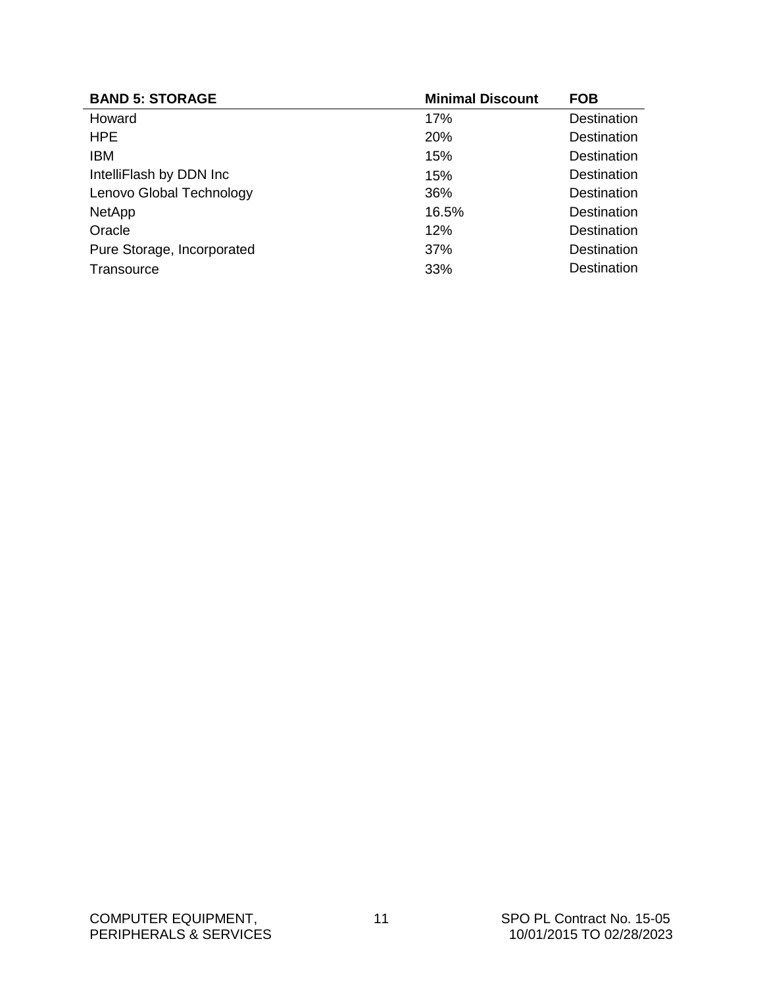| <b>BAND 5: STORAGE</b>     | <b>Minimal Discount</b> | <b>FOB</b>  |
|----------------------------|-------------------------|-------------|
| Howard                     | 17%                     | Destination |
| <b>HPE</b>                 | <b>20%</b>              | Destination |
| <b>IBM</b>                 | 15%                     | Destination |
| IntelliFlash by DDN Inc    | 15%                     | Destination |
| Lenovo Global Technology   | 36%                     | Destination |
| <b>NetApp</b>              | 16.5%                   | Destination |
| Oracle                     | 12%                     | Destination |
| Pure Storage, Incorporated | 37%                     | Destination |
| Transource                 | 33%                     | Destination |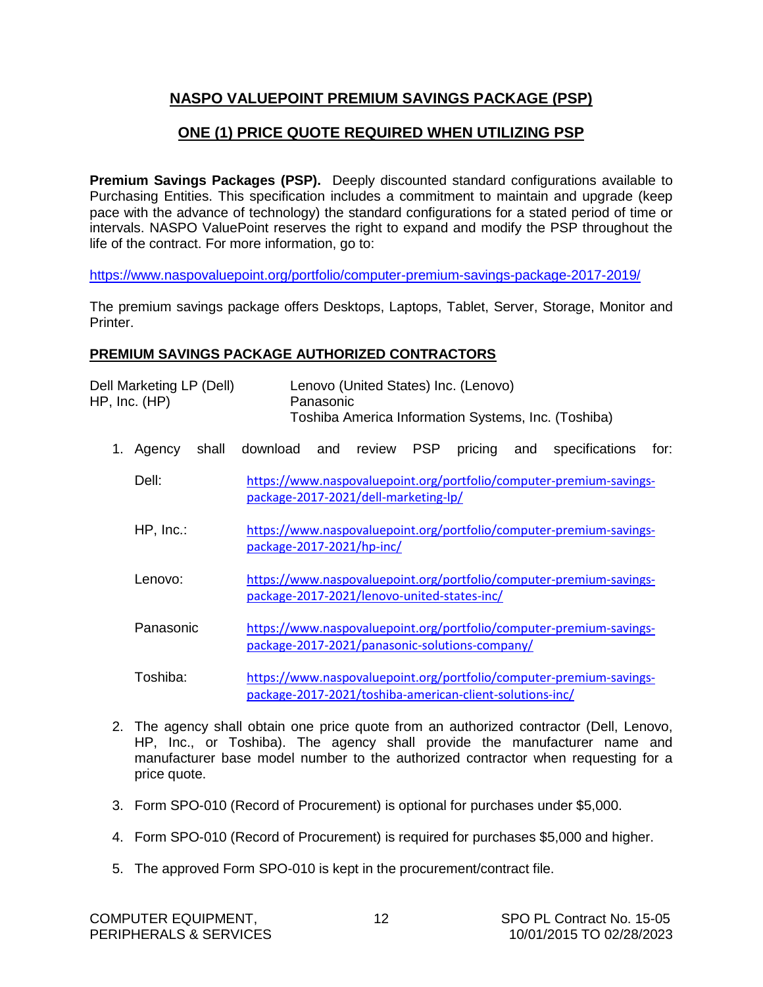### <span id="page-13-0"></span>**NASPO VALUEPOINT PREMIUM SAVINGS PACKAGE (PSP)**

### **ONE (1) PRICE QUOTE REQUIRED WHEN UTILIZING PSP**

**Premium Savings Packages (PSP).** Deeply discounted standard configurations available to Purchasing Entities. This specification includes a commitment to maintain and upgrade (keep pace with the advance of technology) the standard configurations for a stated period of time or intervals. NASPO ValuePoint reserves the right to expand and modify the PSP throughout the life of the contract. For more information, go to:

<https://www.naspovaluepoint.org/portfolio/computer-premium-savings-package-2017-2019/>

The premium savings package offers Desktops, Laptops, Tablet, Server, Storage, Monitor and Printer.

#### **PREMIUM SAVINGS PACKAGE AUTHORIZED CONTRACTORS**

|    | Dell Marketing LP (Dell)<br>HP, Inc. (HP) | Panasonic                                                | Lenovo (United States) Inc. (Lenovo) |            |         |     | Toshiba America Information Systems, Inc. (Toshiba)                 |      |
|----|-------------------------------------------|----------------------------------------------------------|--------------------------------------|------------|---------|-----|---------------------------------------------------------------------|------|
| 1. | Agency<br>shall                           | download<br>and                                          | review                               | <b>PSP</b> | pricing | and | specifications                                                      | for: |
|    | Dell:                                     | package-2017-2021/dell-marketing-lp/                     |                                      |            |         |     | https://www.naspovaluepoint.org/portfolio/computer-premium-savings- |      |
|    | $HP$ , $Inc.$                             | package-2017-2021/hp-inc/                                |                                      |            |         |     | https://www.naspovaluepoint.org/portfolio/computer-premium-savings- |      |
|    | Lenovo:                                   | package-2017-2021/lenovo-united-states-inc/              |                                      |            |         |     | https://www.naspovaluepoint.org/portfolio/computer-premium-savings- |      |
|    | Panasonic                                 | package-2017-2021/panasonic-solutions-company/           |                                      |            |         |     | https://www.naspovaluepoint.org/portfolio/computer-premium-savings- |      |
|    | Toshiba:                                  | package-2017-2021/toshiba-american-client-solutions-inc/ |                                      |            |         |     | https://www.naspovaluepoint.org/portfolio/computer-premium-savings- |      |

- 2. The agency shall obtain one price quote from an authorized contractor (Dell, Lenovo, HP, Inc., or Toshiba). The agency shall provide the manufacturer name and manufacturer base model number to the authorized contractor when requesting for a price quote.
- 3. Form SPO-010 (Record of Procurement) is optional for purchases under \$5,000.
- 4. Form SPO-010 (Record of Procurement) is required for purchases \$5,000 and higher.
- 5. The approved Form SPO-010 is kept in the procurement/contract file.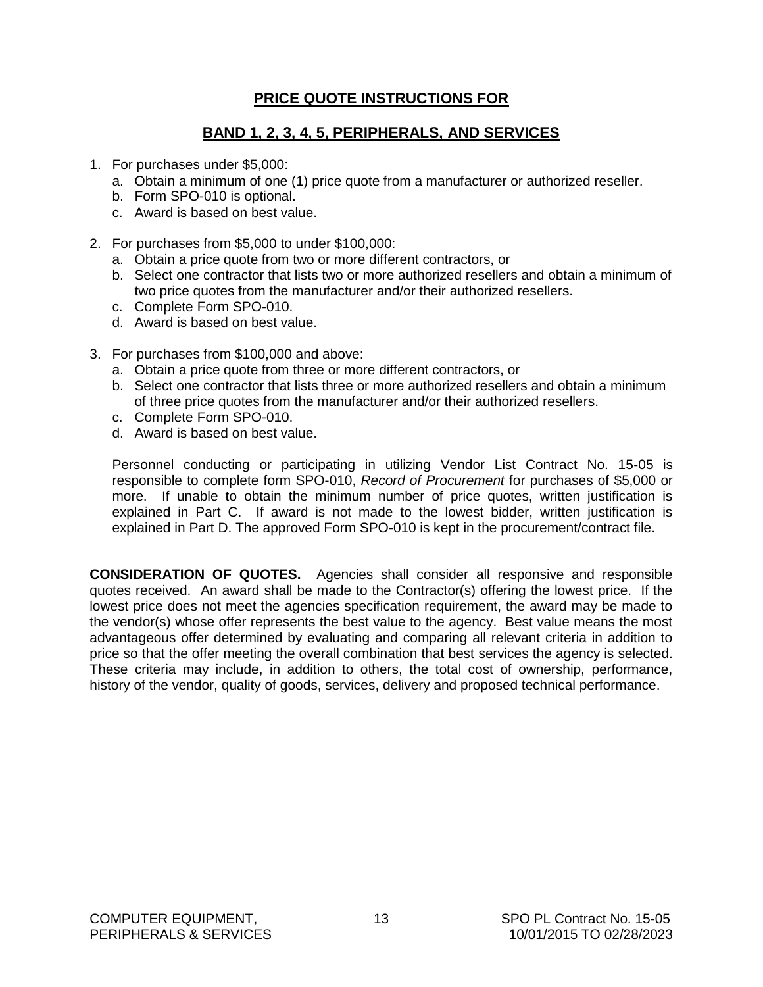### **PRICE QUOTE INSTRUCTIONS FOR**

### **BAND 1, 2, 3, 4, 5, PERIPHERALS, AND SERVICES**

- <span id="page-14-0"></span>1. For purchases under \$5,000:
	- a. Obtain a minimum of one (1) price quote from a manufacturer or authorized reseller.
	- b. Form SPO-010 is optional.
	- c. Award is based on best value.
- 2. For purchases from \$5,000 to under \$100,000:
	- a. Obtain a price quote from two or more different contractors, or
	- b. Select one contractor that lists two or more authorized resellers and obtain a minimum of two price quotes from the manufacturer and/or their authorized resellers.
	- c. Complete Form SPO-010.
	- d. Award is based on best value.
- 3. For purchases from \$100,000 and above:
	- a. Obtain a price quote from three or more different contractors, or
	- b. Select one contractor that lists three or more authorized resellers and obtain a minimum of three price quotes from the manufacturer and/or their authorized resellers.
	- c. Complete Form SPO-010.
	- d. Award is based on best value.

Personnel conducting or participating in utilizing Vendor List Contract No. 15-05 is responsible to complete form SPO-010, *Record of Procurement* for purchases of \$5,000 or more.If unable to obtain the minimum number of price quotes, written justification is explained in Part C. If award is not made to the lowest bidder, written justification is explained in Part D. The approved Form SPO-010 is kept in the procurement/contract file.

**CONSIDERATION OF QUOTES.** Agencies shall consider all responsive and responsible quotes received. An award shall be made to the Contractor(s) offering the lowest price. If the lowest price does not meet the agencies specification requirement, the award may be made to the vendor(s) whose offer represents the best value to the agency. Best value means the most advantageous offer determined by evaluating and comparing all relevant criteria in addition to price so that the offer meeting the overall combination that best services the agency is selected. These criteria may include, in addition to others, the total cost of ownership, performance, history of the vendor, quality of goods, services, delivery and proposed technical performance.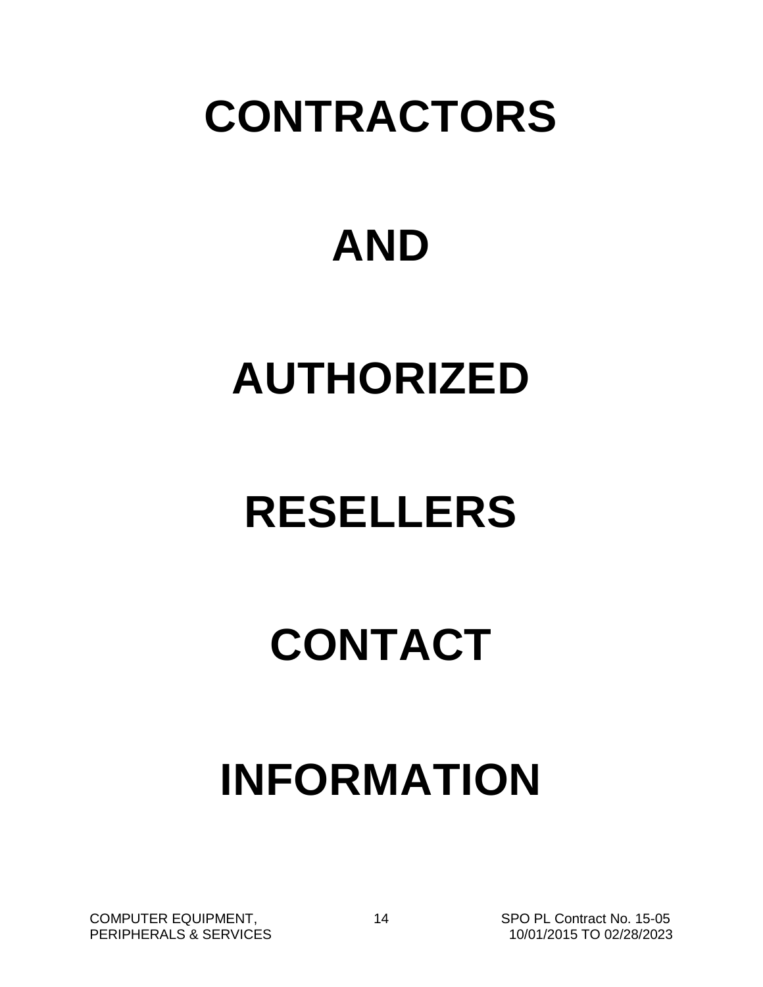# <span id="page-15-0"></span>**CONTRACTORS**

# **AND**

# **AUTHORIZED**

# **RESELLERS**

# **CONTACT**

# **INFORMATION**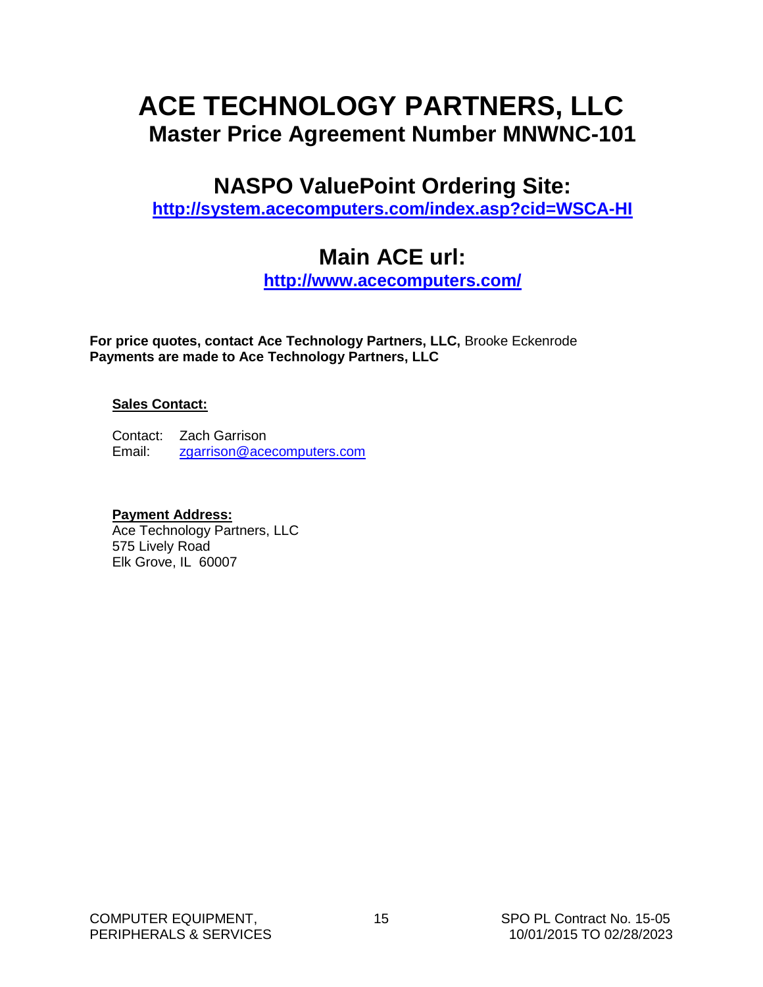## <span id="page-16-0"></span>**ACE TECHNOLOGY PARTNERS, LLC Master Price Agreement Number MNWNC-101**

## **NASPO ValuePoint Ordering Site:**

**<http://system.acecomputers.com/index.asp?cid=WSCA-HI>**

## **Main ACE url:**

**<http://www.acecomputers.com/>**

**For price quotes, contact Ace Technology Partners, LLC,** Brooke Eckenrode **Payments are made to Ace Technology Partners, LLC**

#### **Sales Contact:**

Contact: Zach Garrison Email: [zgarrison@acecomputers.com](mailto:zgarrison@acecomputers.com)

#### **Payment Address:**

Ace Technology Partners, LLC 575 Lively Road Elk Grove, IL 60007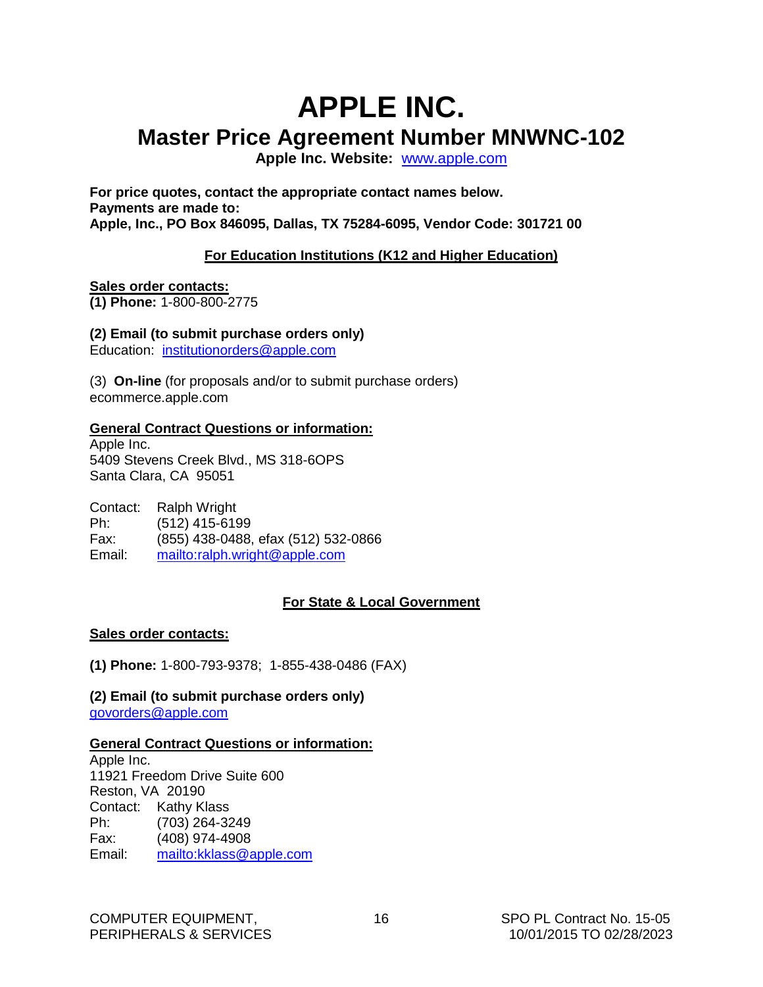## <span id="page-17-0"></span>**APPLE INC. Master Price Agreement Number MNWNC-102**

**Apple Inc. Website:** [www.apple.com](http://www.apple.com/)

**For price quotes, contact the appropriate contact names below. Payments are made to: Apple, Inc., PO Box 846095, Dallas, TX 75284-6095, Vendor Code: 301721 00**

#### **For Education Institutions (K12 and Higher Education)**

#### **Sales order contacts:**

**(1) Phone:** 1-800-800-2775

#### **(2) Email (to submit purchase orders only)**

Education: [institutionorders@apple.com](mailto:institutionorders@apple.com)

(3) **On-line** (for proposals and/or to submit purchase orders) ecommerce.apple.com

#### **General Contract Questions or information:**

Apple Inc. 5409 Stevens Creek Blvd., MS 318-6OPS Santa Clara, CA 95051

Contact: Ralph Wright Ph: (512) 415-6199 Fax: (855) 438-0488, efax (512) 532-0866 Email: <mailto:>[ralph.wright@apple.com](mailto:ralph.wright@apple.com)

#### **For State & Local Government**

#### **Sales order contacts:**

**(1) Phone:** 1-800-793-9378; 1-855-438-0486 (FAX)

**(2) Email (to submit purchase orders only)** [govorders@apple.com](mailto:govorders@apple.com)

#### **General Contract Questions or information:**

Apple Inc. 11921 Freedom Drive Suite 600 Reston, VA 20190 Contact: Kathy Klass Ph: (703) 264-3249 Fax: (408) 974-4908<br>Email: mailto:kklass@a <mailto:> [kklass@apple.com](mailto:kklass@apple.com)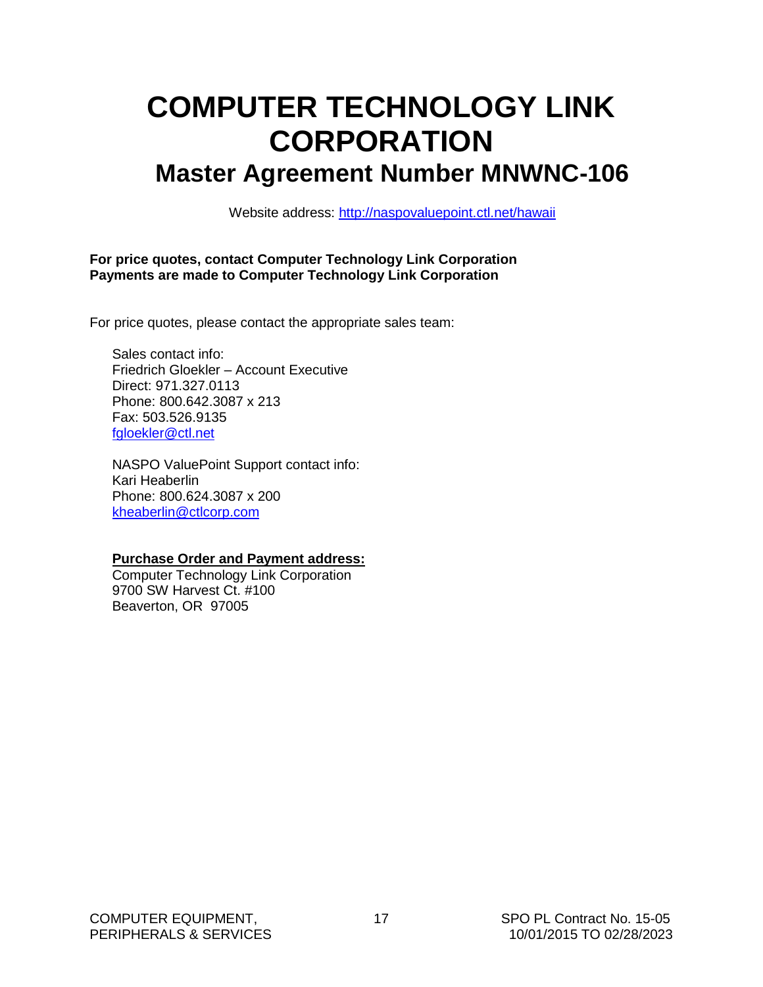## <span id="page-18-0"></span>**COMPUTER TECHNOLOGY LINK CORPORATION Master Agreement Number MNWNC-106**

Website address:<http://naspovaluepoint.ctl.net/hawaii>

#### **For price quotes, contact Computer Technology Link Corporation Payments are made to Computer Technology Link Corporation**

For price quotes, please contact the appropriate sales team:

Sales contact info: Friedrich Gloekler – Account Executive Direct: 971.327.0113 Phone: 800.642.3087 x 213 Fax: 503.526.9135 [fgloekler@ctl.net](mailto:fgloekler@ctl.net)

NASPO ValuePoint Support contact info: Kari Heaberlin Phone: 800.624.3087 x 200 [kheaberlin@ctlcorp.com](mailto:kheaberlin@ctlcorp.com)

#### **Purchase Order and Payment address:**

Computer Technology Link Corporation 9700 SW Harvest Ct. #100 Beaverton, OR 97005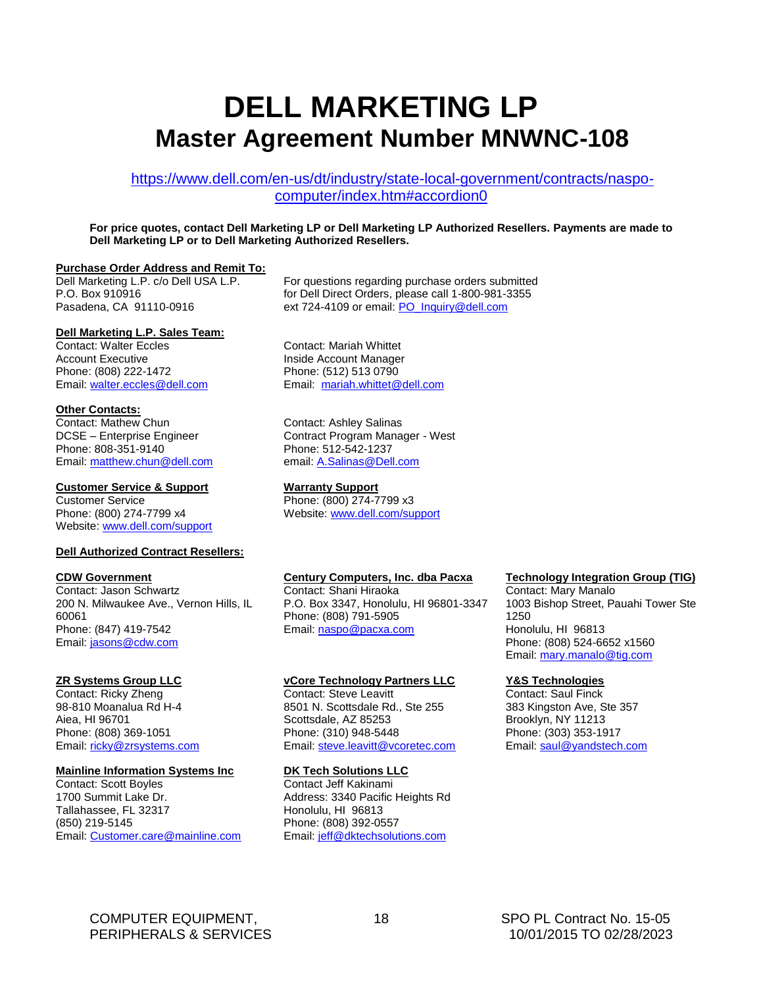## <span id="page-19-0"></span>**DELL MARKETING LP Master Agreement Number MNWNC-108**

[https://www.dell.com/en-us/dt/industry/state-local-government/contracts/naspo](https://www.dell.com/en-us/dt/industry/state-local-government/contracts/naspo-computer/index.htm#accordion0)[computer/index.htm#accordion0](https://www.dell.com/en-us/dt/industry/state-local-government/contracts/naspo-computer/index.htm#accordion0)

**For price quotes, contact Dell Marketing LP or Dell Marketing LP Authorized Resellers. Payments are made to Dell Marketing LP or to Dell Marketing Authorized Resellers.**

#### **Purchase Order Address and Remit To:**

Dell Marketing L.P. c/o Dell USA L.P. P.O. Box 910916 Pasadena, CA 91110-0916

#### **Dell Marketing L.P. Sales Team:**

Contact: Walter Eccles Account Executive Phone: (808) 222-1472 Email: [walter.eccles@dell.com](mailto:walter.eccles@dell.com)

#### **Other Contacts:**

Contact: Mathew Chun DCSE – Enterprise Engineer Phone: 808-351-9140 Email: [matthew.chun@dell.com](mailto:matthew.chun@dell.com)

#### **Customer Service & Support Warranty Support**

Customer Service Phone: (800) 274-7799 x4 Website: [www.dell.com/support](http://www.dell.com/support)

#### **Dell Authorized Contract Resellers:**

#### **CDW Government**

Contact: Jason Schwartz 200 N. Milwaukee Ave., Vernon Hills, IL 60061 Phone: (847) 419-7542 Email: [jasons@cdw.com](mailto:jasons@cdw.com)

#### **ZR Systems Group LLC**

Contact: Ricky Zheng 98-810 Moanalua Rd H-4 Aiea, HI 96701 Phone: (808) 369-1051 Email: [ricky@zrsystems.com](mailto:ricky@zrsystems.com)

#### **Mainline Information Systems Inc**

Contact: Scott Boyles 1700 Summit Lake Dr. Tallahassee, FL 32317 (850) 219-5145 Email: [Customer.care@mainline.com](mailto:Customer.care@mainline.com)

For questions regarding purchase orders submitted for Dell Direct Orders, please call 1-800-981-3355 ext 724-4109 or email: [PO\\_Inquiry@dell.com](mailto:PO_Inquiry@dell.com)

Contact: Mariah Whittet Inside Account Manager Phone: (512) 513 0790 Email: [mariah.whittet@dell.com](file:///C:/Users/walter_eccles/AppData/Local/Microsoft/Windows/INetCache/Content.Outlook/4GCXYUQC/mariah.whittet@dell.com)

Contact: Ashley Salinas Contract Program Manager - West Phone: 512-542-1237 email: [A.Salinas@Dell.com](mailto:A.Salinas@Dell.com)

Phone: (800) 274-7799 x3 Website: [www.dell.com/support](http://www.dell.com/support)

#### **Century Computers, Inc. dba Pacxa**

Contact: Shani Hiraoka P.O. Box 3347, Honolulu, HI 96801-3347 Phone: (808) 791-5905 Email: [naspo@pacxa.com](mailto:naspo@pacxa.com)

#### **vCore Technology Partners LLC**

Contact: Steve Leavitt 8501 N. Scottsdale Rd., Ste 255 Scottsdale, AZ 85253 Phone: (310) 948-5448 Email: [steve.leavitt@vcoretec.com](mailto:steve.leavitt@vcoretec.com)

#### **DK Tech Solutions LLC**

Contact Jeff Kakinami Address: 3340 Pacific Heights Rd Honolulu, HI 96813 Phone: (808) 392-0557 Email: [jeff@dktechsolutions.com](mailto:jeff@dktechsolutions.com)

#### **Technology Integration Group (TIG)**

Contact: Mary Manalo 1003 Bishop Street, Pauahi Tower Ste 1250 Honolulu, HI 96813 Phone: (808) 524-6652 x1560 Email: [mary.manalo@tig.com](mailto:mary.manalo@tig.com)

#### **Y&S Technologies**

Contact: Saul Finck 383 Kingston Ave, Ste 357 Brooklyn, NY 11213 Phone: (303) 353-1917 Email: [saul@yandstech.com](mailto:saul@yandstech.com)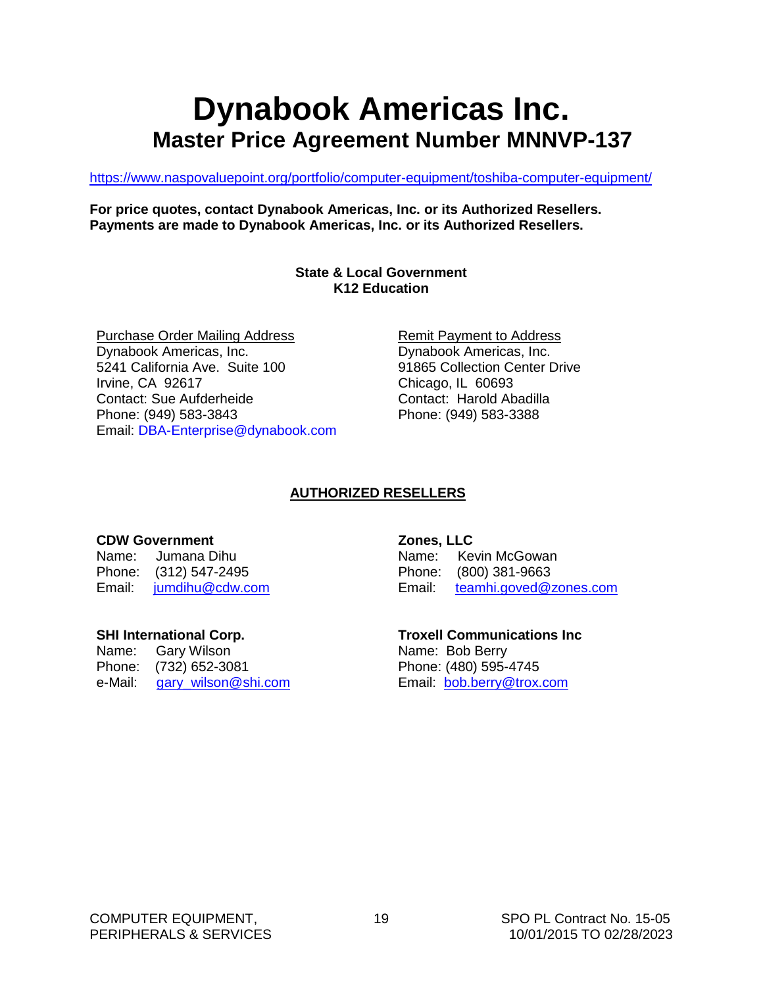## **Dynabook Americas Inc. Master Price Agreement Number MNNVP-137**

<https://www.naspovaluepoint.org/portfolio/computer-equipment/toshiba-computer-equipment/>

**For price quotes, contact Dynabook Americas, Inc. or its Authorized Resellers. Payments are made to Dynabook Americas, Inc. or its Authorized Resellers.**

#### **State & Local Government K12 Education**

Purchase Order Mailing Address Dynabook Americas, Inc. 5241 California Ave. Suite 100 Irvine, CA 92617 Contact: Sue Aufderheide Phone: (949) 583-3843 Email: DBA-Enterprise@dynabook.com Remit Payment to Address Dynabook Americas, Inc. 91865 Collection Center Drive Chicago, IL 60693 Contact: Harold Abadilla Phone: (949) 583-3388

### **AUTHORIZED RESELLERS**

#### **CDW Government**

Name: Jumana Dihu Phone: (312) 547-2495 Email: [jumdihu@cdw.com](mailto:jumdihu@cdw.com)

#### **SHI International Corp.**

Name: Gary Wilson Phone: (732) 652-3081 e-Mail: gary wilson@shi.com

#### **Zones, LLC**

Name: Kevin McGowan Phone: (800) 381-9663 Email: [teamhi.goved@zones.com](mailto:court.brown@zones.com)

## **Troxell Communications Inc** Name: Bob Berry

Phone: (480) 595-4745 Email: [bob.berry@trox.com](mailto:bob.berry@trox.com)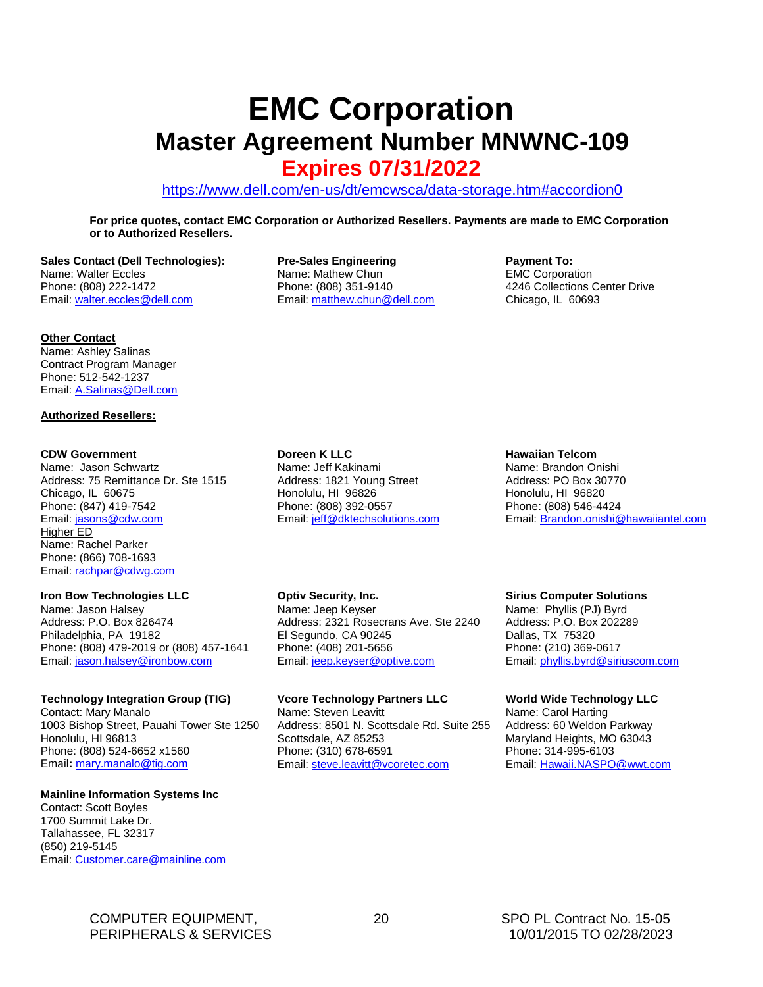# <span id="page-21-0"></span>**EMC Corporation Master Agreement Number MNWNC-109**

## **Expires 07/31/2022**

<https://www.dell.com/en-us/dt/emcwsca/data-storage.htm#accordion0>

**For price quotes, contact EMC Corporation or Authorized Resellers. Payments are made to EMC Corporation or to Authorized Resellers.**

**Sales Contact (Dell Technologies):**  Name: Walter Eccles Phone: (808) 222-1472 Email: [walter.eccles@dell.com](mailto:walter.eccles@dell.com) 

#### **Other Contact**

Name: Ashley Salinas Contract Program Manager Phone: 512-542-1237 Email: [A.Salinas@Dell.com](mailto:A.Salinas@Dell.com)

#### **Authorized Resellers:**

#### **CDW Government**

Name: Jason Schwartz Address: 75 Remittance Dr. Ste 1515 Chicago, IL 60675 Phone: (847) 419-7542 Email: [jasons@cdw.com](mailto:jasons@cdw.com) Higher ED Name: Rachel Parker Phone: (866) 708-1693 Email: [rachpar@cdwg.com](mailto:rachpar@cdwg.com) 

#### **Iron Bow Technologies LLC**

Name: Jason Halsey Address: P.O. Box 826474 Philadelphia, PA 19182 Phone: (808) 479-2019 or (808) 457-1641 Email: [jason.halsey@ironbow.com](mailto:jason.halsey@ironbow.com)

#### **Technology Integration Group (TIG)**

Contact: Mary Manalo 1003 Bishop Street, Pauahi Tower Ste 1250 Honolulu, HI 96813 Phone: (808) 524-6652 x1560 Email**:** [mary.manalo@tig.com](mailto:mary.manalo@tig.com)

#### **Mainline Information Systems Inc**

Contact: Scott Boyles 1700 Summit Lake Dr. Tallahassee, FL 32317 (850) 219-5145 Email: [Customer.care@mainline.com](mailto:Customer.care@mainline.com) **Pre-Sales Engineering** Name: Mathew Chun Phone: (808) 351-9140 Email: [matthew.chun@dell.com](mailto:matthew.chun@dell.com) **Payment To:** EMC Corporation 4246 Collections Center Drive Chicago, IL 60693

**Doreen K LLC**

Name: Jeff Kakinami Address: 1821 Young Street Honolulu, HI 96826 Phone: (808) 392-0557 Email: [jeff@dktechsolutions.com](mailto:jeff@dktechsolutions.com)

#### **Hawaiian Telcom**

Name: Brandon Onishi Address: PO Box 30770 Honolulu, HI 96820 Phone: (808) 546-4424 Email: [Brandon.onishi@hawaiiantel.com](mailto:Brandon.onishi@hawaiiantel.com)

#### **Optiv Security, Inc.**

Name: Jeep Keyser Address: 2321 Rosecrans Ave. Ste 2240 El Segundo, CA 90245 Phone: (408) 201-5656 Email: [jeep.keyser@optive.com](mailto:jeep.keyser@optive.com)

#### **Vcore Technology Partners LLC**

Name: Steven Leavitt Address: 8501 N. Scottsdale Rd. Suite 255 Scottsdale, AZ 85253 Phone: (310) 678-6591 Email: [steve.leavitt@vcoretec.com](mailto:steve.leavitt@vcoretec.com)

#### **Sirius Computer Solutions**

Name: Phyllis (PJ) Byrd Address: P.O. Box 202289 Dallas, TX 75320 Phone: (210) 369-0617 Email: [phyllis.byrd@siriuscom.com](mailto:phyllis.byrd@siriuscom.com)

#### **World Wide Technology LLC**

Name: Carol Harting Address: 60 Weldon Parkway Maryland Heights, MO 63043 Phone: 314-995-6103 Email: [Hawaii.NASPO@wwt.com](mailto:Hawaii.NASPO@wwt.com) 

COMPUTER EQUIPMENT, 20SPO PL Contract No. 15-05 PERIPHERALS & SERVICES 10/01/2015 TO 02/28/2023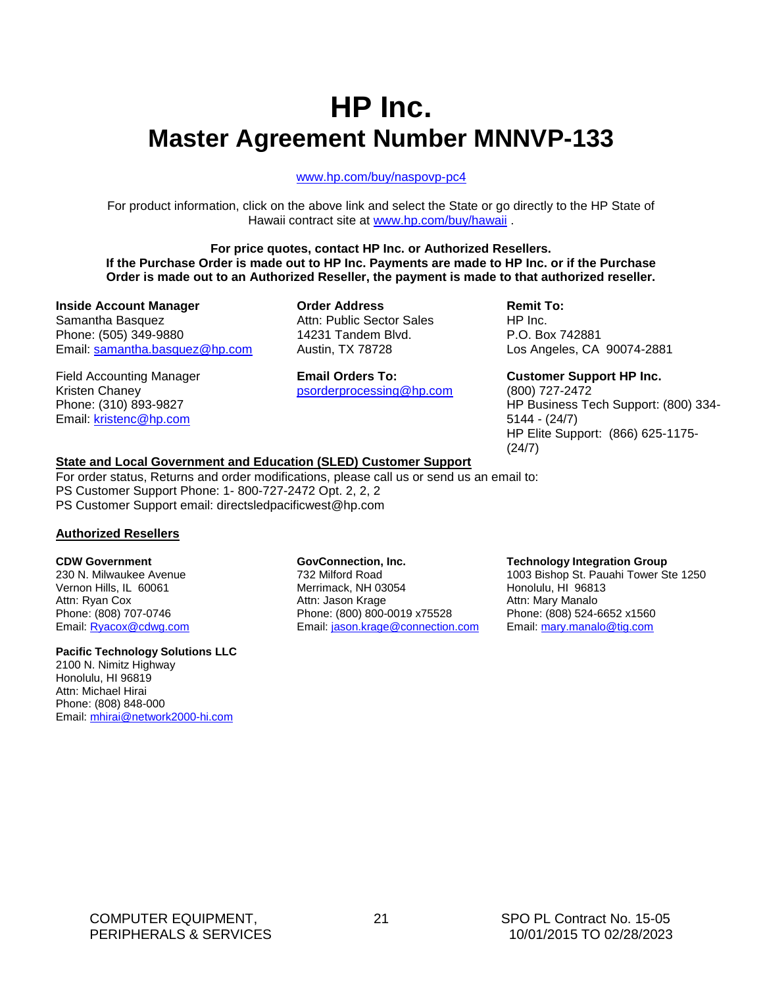## **HP Inc. Master Agreement Number MNNVP-133**

#### [www.hp.com/buy/naspovp-pc4](http://www.hp.com/buy/naspovp-pc4)

For product information, click on the above link and select the State or go directly to the HP State of Hawaii contract site at [www.hp.com/buy/hawaii](http://www.hp.com/buy/hawaii) .

**For price quotes, contact HP Inc. or Authorized Resellers. If the Purchase Order is made out to HP Inc. Payments are made to HP Inc. or if the Purchase Order is made out to an Authorized Reseller, the payment is made to that authorized reseller.**

**Inside Account Manager** Samantha Basquez Phone: (505) 349-9880 Email: [samantha.basquez@hp.com](mailto:samantha.basquez@hp.com)

Field Accounting Manager Kristen Chaney Phone: (310) 893-9827 Email: [kristenc@hp.com](mailto:kristenc@hp.com)

**Order Address** Attn: Public Sector Sales 14231 Tandem Blvd. Austin, TX 78728

**Email Orders To:** [psorderprocessing@hp.com](mailto:psorderprocessing@hp.com)

#### **Remit To:** HP Inc.

P.O. Box 742881 Los Angeles, CA 90074-2881

**Customer Support HP Inc.** (800) 727-2472 HP Business Tech Support: (800) 334- 5144 - (24/7) HP Elite Support: (866) 625-1175- (24/7)

#### **State and Local Government and Education (SLED) Customer Support**

For order status, Returns and order modifications, please call us or send us an email to: PS Customer Support Phone: 1- 800-727-2472 Opt. 2, 2, 2 PS Customer Support email: directsledpacificwest@hp.com

#### **Authorized Resellers**

#### **CDW Government**

230 N. Milwaukee Avenue Vernon Hills, IL 60061 Attn: Ryan Cox Phone: (808) 707-0746 Email: [Ryacox@cdwg.com](mailto:Ryacox@cdwg.com)

#### **Pacific Technology Solutions LLC**

2100 N. Nimitz Highway Honolulu, HI 96819 Attn: Michael Hirai Phone: (808) 848-000 Email: mhirai@network2000-hi.com

#### **GovConnection, Inc.**

732 Milford Road Merrimack, NH 03054 Attn: Jason Krage Phone: (800) 800-0019 x75528 Email: [jason.krage@connection.com](mailto:jason.krage@connection.com)

#### **Technology Integration Group**

1003 Bishop St. Pauahi Tower Ste 1250 Honolulu, HI 96813 Attn: Mary Manalo Phone: (808) 524-6652 x1560 Email: [mary.manalo@tig.com](mailto:mary.manalo@tig.com)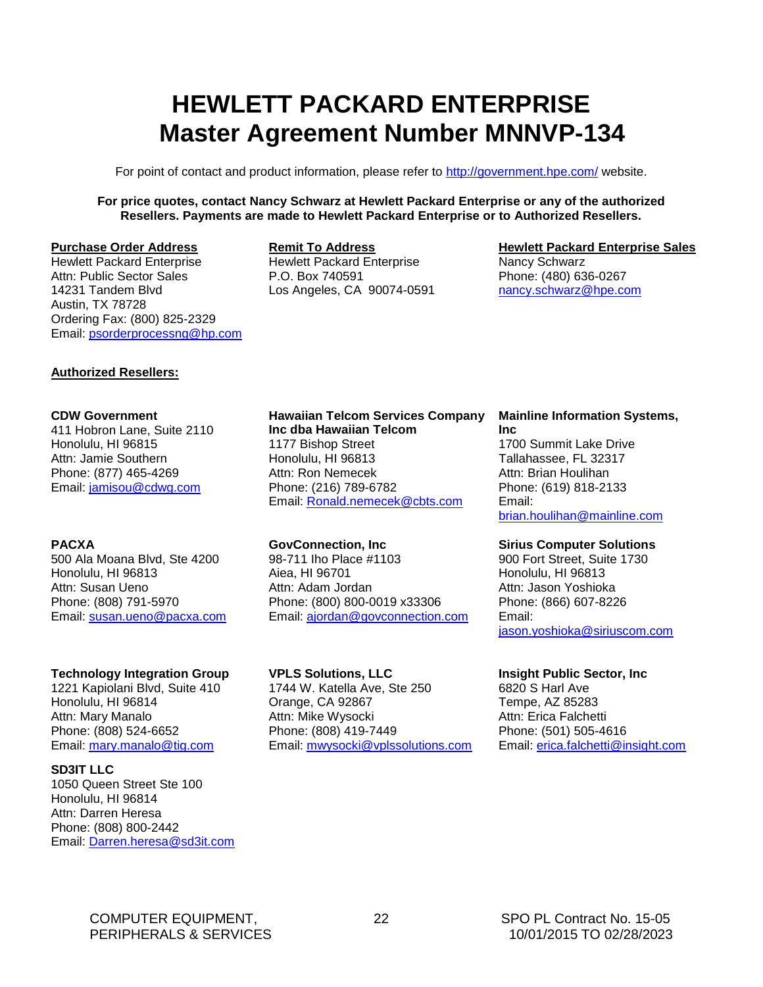## <span id="page-23-0"></span>**HEWLETT PACKARD ENTERPRISE Master Agreement Number MNNVP-134**

For point of contact and product information, please refer to<http://government.hpe.com/> website.

**For price quotes, contact Nancy Schwarz at Hewlett Packard Enterprise or any of the authorized Resellers. Payments are made to Hewlett Packard Enterprise or to Authorized Resellers.**

#### **Purchase Order Address**

Hewlett Packard Enterprise Attn: Public Sector Sales 14231 Tandem Blvd Austin, TX 78728 Ordering Fax: (800) 825-2329 Email: [psorderprocessng@hp.com](mailto:psorderprocessng@hp.com)

#### **Remit To Address**

Hewlett Packard Enterprise P.O. Box 740591 Los Angeles, CA 90074-0591

#### **Hewlett Packard Enterprise Sales**

Nancy Schwarz Phone: (480) 636-0267 [nancy.schwarz@hpe.com](mailto:nancy.schwarz@hpe.com)

#### **Authorized Resellers:**

#### **CDW Government**

411 Hobron Lane, Suite 2110 Honolulu, HI 96815 Attn: Jamie Southern Phone: (877) 465-4269 Email: [jamisou@cdwg.com](mailto:jamisou@cdwg.com)

#### **PACXA**

500 Ala Moana Blvd, Ste 4200 Honolulu, HI 96813 Attn: Susan Ueno Phone: (808) 791-5970 Email: [susan.ueno@pacxa.com](mailto:susan.ueno@pacxa.com)

#### **Technology Integration Group**

1221 Kapiolani Blvd, Suite 410 Honolulu, HI 96814 Attn: Mary Manalo Phone: (808) 524-6652 Email: [mary.manalo@tig.com](mailto:mary.manalo@tig.com)

#### **SD3IT LLC**

1050 Queen Street Ste 100 Honolulu, HI 96814 Attn: Darren Heresa Phone: (808) 800-2442 Email: [Darren.heresa@sd3it.com](mailto:Darren.heresa@sd3it.com)

#### **Hawaiian Telcom Services Company Inc dba Hawaiian Telcom** 1177 Bishop Street Honolulu, HI 96813 Attn: Ron Nemecek Phone: (216) 789-6782 Email: [Ronald.nemecek@cbts.com](mailto:Ronald.nemecek@cbts.com)

#### **GovConnection, Inc**

98-711 Iho Place #1103 Aiea, HI 96701 Attn: Adam Jordan Phone: (800) 800-0019 x33306 Email: [ajordan@govconnection.com](mailto:ajordan@govconnection.com)

#### **VPLS Solutions, LLC**

1744 W. Katella Ave, Ste 250 Orange, CA 92867 Attn: Mike Wysocki Phone: (808) 419-7449 Email: mwysocki@vplssolutions.com

#### **Mainline Information Systems, Inc**

1700 Summit Lake Drive Tallahassee, FL 32317 Attn: Brian Houlihan Phone: (619) 818-2133 Email: [brian.houlihan@mainline.com](mailto:brian.houlihan@mainline.com)

#### **Sirius Computer Solutions**

900 Fort Street, Suite 1730 Honolulu, HI 96813 Attn: Jason Yoshioka Phone: (866) 607-8226 Email: [jason.yoshioka@siriuscom.com](mailto:jason.yoshioka@siriuscom.com)

#### **Insight Public Sector, Inc**

6820 S Harl Ave Tempe, AZ 85283 Attn: Erica Falchetti Phone: (501) 505-4616 Email: [erica.falchetti@insight.com](mailto:erica.falchetti@insight.com)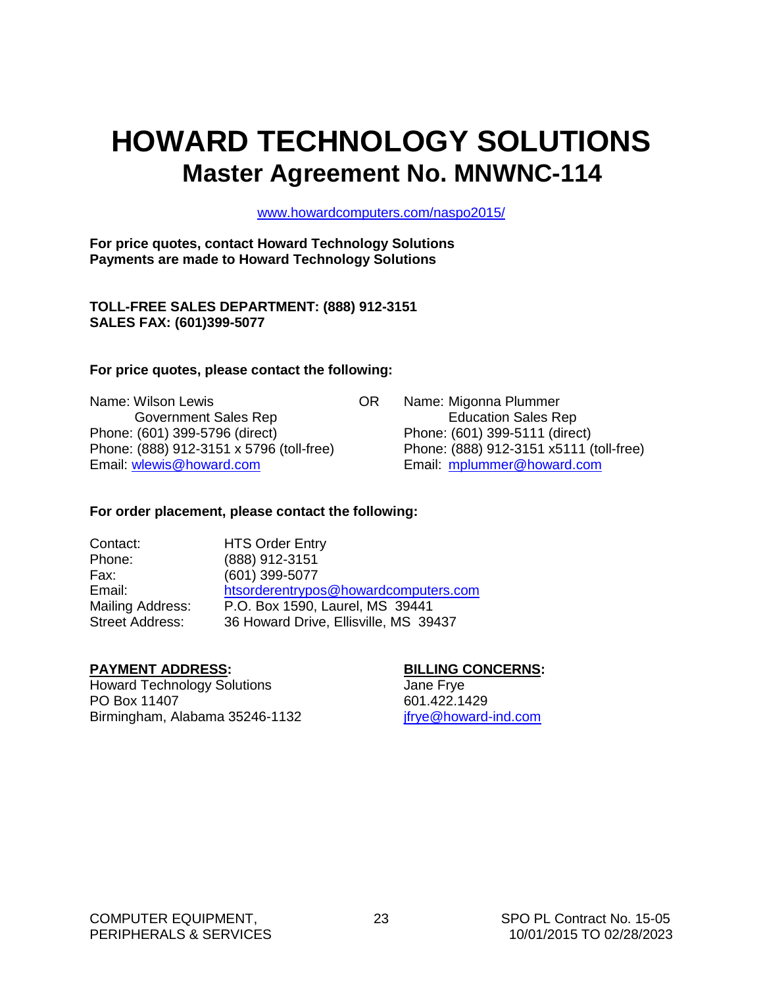## <span id="page-24-0"></span>**HOWARD TECHNOLOGY SOLUTIONS Master Agreement No. MNWNC-114**

[www.howardcomputers.com/naspo2015/](http://www.howardcomputers.com/naspo2015/)

**For price quotes, contact Howard Technology Solutions Payments are made to Howard Technology Solutions**

**TOLL-FREE SALES DEPARTMENT: (888) 912-3151 SALES FAX: (601)399-5077**

#### **For price quotes, please contact the following:**

Name: Wilson Lewis **Name: Wilson Lewis OR** Name: Migonna Plummer Government Sales Rep **Education Sales Rep** Education Sales Rep Phone: (601) 399-5796 (direct) Phone: (601) 399-5111 (direct) Phone: (888) 912-3151 x 5796 (toll-free) Phone: (888) 912-3151 x5111 (toll-free) Email: [wlewis@howard.com](mailto:wlewis@howard.com) Email: [mplummer@howard.com](mailto:mplummer@howard.com)

#### **For order placement, please contact the following:**

| Contact:               | <b>HTS Order Entry</b>                |
|------------------------|---------------------------------------|
| Phone:                 | (888) 912-3151                        |
| Fax:                   | (601) 399-5077                        |
| Email:                 | htsorderentrypos@howardcomputers.com  |
| Mailing Address:       | P.O. Box 1590, Laurel, MS 39441       |
| <b>Street Address:</b> | 36 Howard Drive, Ellisville, MS 39437 |

#### **PAYMENT ADDRESS: BILLING CONCERNS:**

Howard Technology Solutions **Figure 1** Howard Technology Solutions PO Box 11407 601.422.1429 Birmingham, Alabama 35246-1132 ifrye@howard-ind.com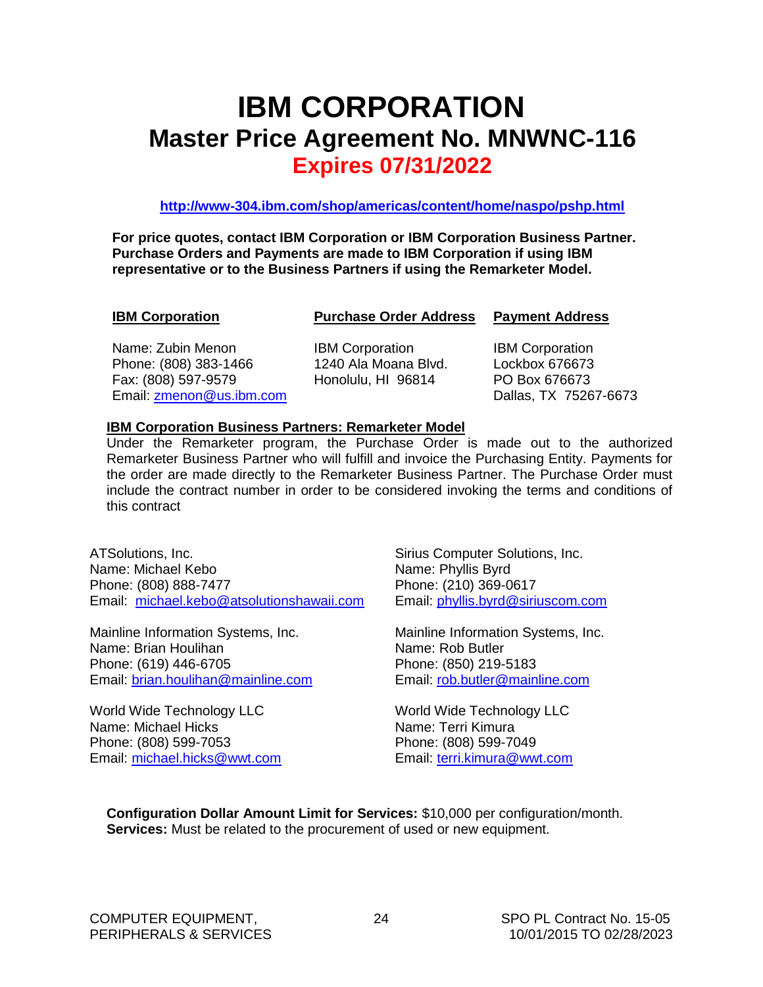## <span id="page-25-0"></span>**IBM CORPORATION Master Price Agreement No. MNWNC-116 Expires 07/31/2022**

**<http://www-304.ibm.com/shop/americas/content/home/naspo/pshp.html>**

**For price quotes, contact IBM Corporation or IBM Corporation Business Partner. Purchase Orders and Payments are made to IBM Corporation if using IBM representative or to the Business Partners if using the Remarketer Model.**

**IBM Corporation Purchase Order Address Payment Address**

Name: Zubin Menon **IBM Corporation** IBM Corporation Phone: (808) 383-1466 1240 Ala Moana Blvd. Lockbox 676673 Fax: (808) 597-9579 Honolulu, HI 96814 PO Box 676673 Email: [zmenon@us.ibm.com](mailto:zmenon@us.ibm.com) Dallas, TX 75267-6673

#### **IBM Corporation Business Partners: Remarketer Model**

Under the Remarketer program, the Purchase Order is made out to the authorized Remarketer Business Partner who will fulfill and invoice the Purchasing Entity. Payments for the order are made directly to the Remarketer Business Partner. The Purchase Order must include the contract number in order to be considered invoking the terms and conditions of this contract

ATSolutions, Inc. Name: Michael Kebo Phone: (808) 888-7477 Email: [michael.kebo@atsolutionshawaii.com](mailto:michael.kebo@atsolutionshawaii.com)

Mainline Information Systems, Inc. Name: Brian Houlihan Phone: (619) 446-6705 Email: [brian.houlihan@mainline.com](mailto:brian.houlihan@mainline.com)

World Wide Technology LLC Name: Michael Hicks Phone: (808) 599-7053 Email: [michael.hicks@wwt.com](mailto:michael.hicks@wwt.com) Sirius Computer Solutions, Inc. Name: Phyllis Byrd Phone: (210) 369-0617 Email: [phyllis.byrd@siriuscom.com](mailto:phyllis.byrd@siriuscom.com)

Mainline Information Systems, Inc. Name: Rob Butler Phone: (850) 219-5183 Email: [rob.butler@mainline.com](mailto:rob.butler@mainline.com)

World Wide Technology LLC Name: Terri Kimura Phone: (808) 599-7049 Email: [terri.kimura@wwt.com](mailto:terri.kimura@wwt.com)

**Configuration Dollar Amount Limit for Services:** \$10,000 per configuration/month. **Services:** Must be related to the procurement of used or new equipment.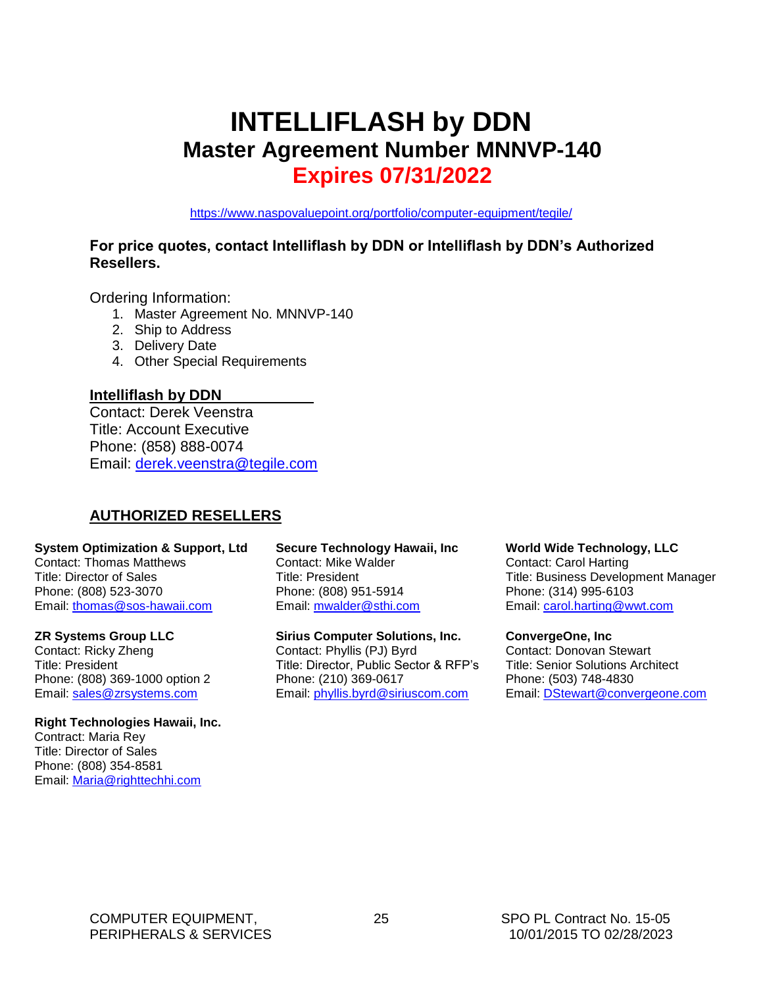## <span id="page-26-0"></span>**INTELLIFLASH by DDN Master Agreement Number MNNVP-140 Expires 07/31/2022**

<https://www.naspovaluepoint.org/portfolio/computer-equipment/tegile/>

#### **For price quotes, contact Intelliflash by DDN or Intelliflash by DDN's Authorized Resellers.**

Ordering Information:

- 1. Master Agreement No. MNNVP-140
- 2. Ship to Address
- 3. Delivery Date
- 4. Other Special Requirements

#### **Intelliflash by DDN**

Contact: Derek Veenstra Title: Account Executive Phone: (858) 888-0074 Email: [derek.veenstra@tegile.com](mailto:derek.veenstra@tegile.com)

#### **AUTHORIZED RESELLERS**

#### **System Optimization & Support, Ltd**

Contact: Thomas Matthews Title: Director of Sales Phone: (808) 523-3070 Email: [thomas@sos-hawaii.com](mailto:thomas@sos-hawaii.com)

#### **ZR Systems Group LLC**

Contact: Ricky Zheng Title: President Phone: (808) 369-1000 option 2 Email: [sales@zrsystems.com](mailto:sales@zrsystems.com)

#### **Right Technologies Hawaii, Inc.**

Contract: Maria Rey Title: Director of Sales Phone: (808) 354-8581 Email: [Maria@righttechhi.com](mailto:Maria@righttechhi.com)

**Secure Technology Hawaii, Inc** Contact: Mike Walder Title: President Phone: (808) 951-5914 Email: [mwalder@sthi.com](mailto:mwalder@sthi.com)

**Sirius Computer Solutions, Inc.** Contact: Phyllis (PJ) Byrd Title: Director, Public Sector & RFP's Phone: (210) 369-0617 Email: [phyllis.byrd@siriuscom.com](mailto:phyllis.byrd@siriuscom.com)

#### **World Wide Technology, LLC**

Contact: Carol Harting Title: Business Development Manager Phone: (314) 995-6103 Email: [carol.harting@wwt.com](mailto:carol.harting@wwt.com)

#### **ConvergeOne, Inc**

Contact: Donovan Stewart Title: Senior Solutions Architect Phone: (503) 748-4830 Email: [DStewart@convergeone.com](mailto:DStewart@convergeone.com)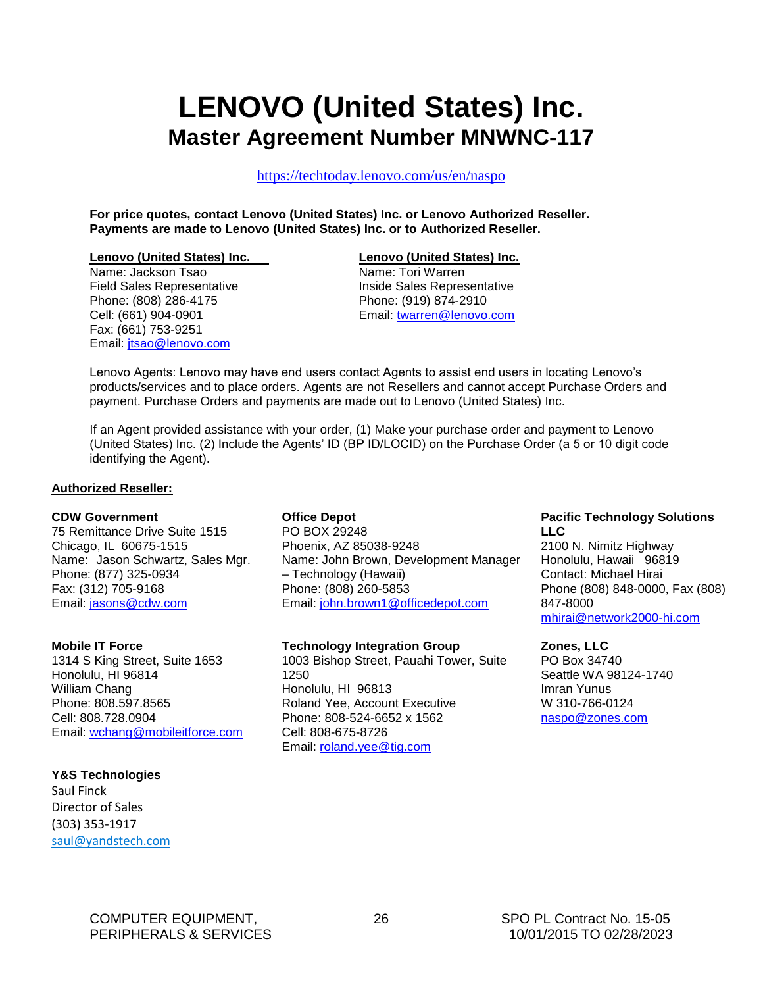## <span id="page-27-0"></span>**LENOVO (United States) Inc. Master Agreement Number MNWNC-117**

<https://techtoday.lenovo.com/us/en/naspo>

**For price quotes, contact Lenovo (United States) Inc. or Lenovo Authorized Reseller. Payments are made to Lenovo (United States) Inc. or to Authorized Reseller.**

#### **Lenovo (United States) Inc. Lenovo (United States) Inc.**

Name: Jackson Tsao Name: Tori Warren Phone: (808) 286-4175 Phone: (919) 874-2910 Fax: (661) 753-9251 Email: [jtsao@lenovo.com](mailto:jtsao@lenovo.com)

Field Sales Representative **Inside Sales Representative** Cell: (661) 904-0901 Email: [twarren@lenovo.com](mailto:twarren@lenovo.com)

Lenovo Agents: Lenovo may have end users contact Agents to assist end users in locating Lenovo's products/services and to place orders. Agents are not Resellers and cannot accept Purchase Orders and payment. Purchase Orders and payments are made out to Lenovo (United States) Inc.

If an Agent provided assistance with your order, (1) Make your purchase order and payment to Lenovo (United States) Inc. (2) Include the Agents' ID (BP ID/LOCID) on the Purchase Order (a 5 or 10 digit code identifying the Agent).

#### **Authorized Reseller:**

#### **CDW Government**

75 Remittance Drive Suite 1515 Chicago, IL 60675-1515 Name: Jason Schwartz, Sales Mgr. Phone: (877) 325-0934 Fax: (312) 705-9168 Email: [jasons@cdw.com](mailto:jasons@cdw.com)

#### **Mobile IT Force**

1314 S King Street, Suite 1653 Honolulu, HI 96814 William Chang Phone: 808.597.8565 Cell: 808.728.0904 Email: [wchang@mobileitforce.com](mailto:wchang@mobileitforce.com)

#### **Y&S Technologies**

Saul Finck Director of Sales (303) 353-1917 [saul@yandstech.com](mailto:saul@yandstech.com)

#### **Office Depot**

PO BOX 29248 Phoenix, AZ 85038-9248 Name: John Brown, Development Manager – Technology (Hawaii) Phone: (808) 260-5853 Email: [john.brown1@officedepot.com](mailto:john.brown1@officedepot.com)

#### **Technology Integration Group**

1003 Bishop Street, Pauahi Tower, Suite 1250 Honolulu, HI 96813 Roland Yee, Account Executive Phone: 808-524-6652 x 1562 Cell: 808-675-8726 Email: [roland.yee@tig.com](mailto:roland.yee@tig.com)

#### **Pacific Technology Solutions LLC**

2100 N. Nimitz Highway Honolulu, Hawaii 96819 Contact: Michael Hirai Phone (808) 848-0000, Fax (808) 847-8000 [mhirai@network2000-hi.com](mailto:mhirai@network2000-hi.com)

#### **Zones, LLC**

PO Box 34740 Seattle WA 98124-1740 Imran Yunus W 310-766-0124 [naspo@zones.com](mailto:naspo@zones.com)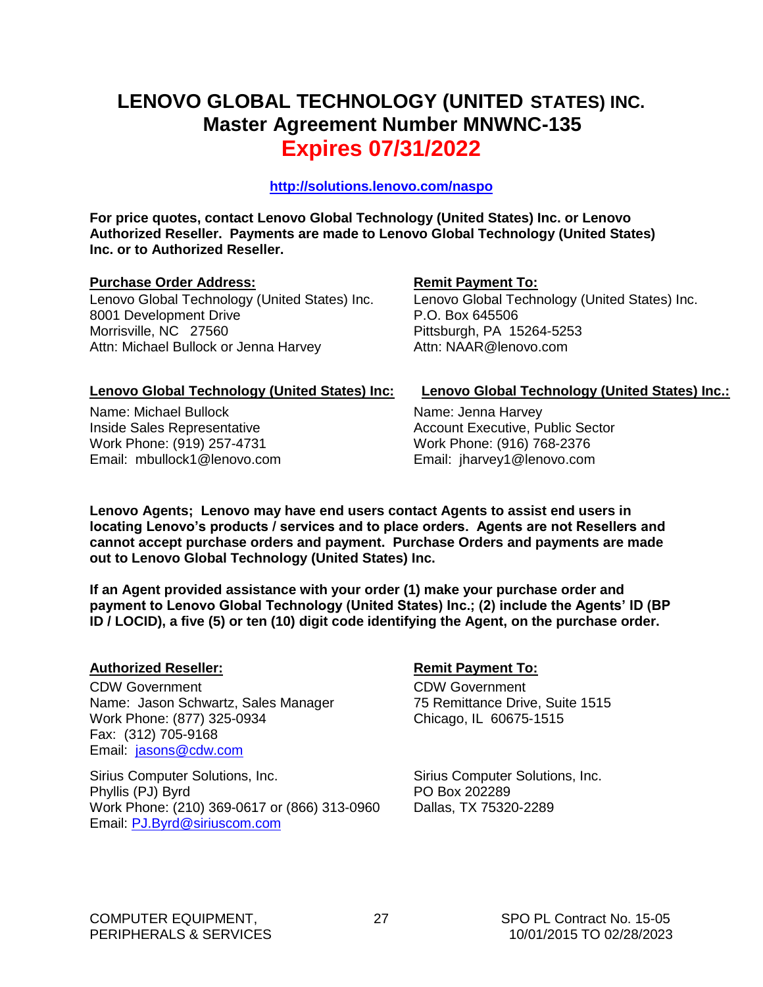## **LENOVO GLOBAL TECHNOLOGY (UNITED STATES) INC. Master Agreement Number MNWNC-135 Expires 07/31/2022**

**<http://solutions.lenovo.com/naspo>**

**For price quotes, contact Lenovo Global Technology (United States) Inc. or Lenovo Authorized Reseller. Payments are made to Lenovo Global Technology (United States) Inc. or to Authorized Reseller.**

#### **Purchase Order Address: Remit Payment To: Remit Payment To:**

Lenovo Global Technology (United States) Inc. 8001 Development Drive Morrisville, NC 27560 Attn: Michael Bullock or Jenna Harvey

Lenovo Global Technology (United States) Inc. P.O. Box 645506 Pittsburgh, PA 15264-5253 Attn: NAAR@lenovo.com

Name: Michael Bullock Inside Sales Representative Work Phone: (919) 257-4731 Email: mbullock1@lenovo.com

#### **Lenovo Global Technology (United States) Inc: Lenovo Global Technology (United States) Inc.:**

Name: Jenna Harvey Account Executive, Public Sector Work Phone: (916) 768-2376 Email: jharvey1@lenovo.com

**Lenovo Agents; Lenovo may have end users contact Agents to assist end users in locating Lenovo's products / services and to place orders. Agents are not Resellers and cannot accept purchase orders and payment. Purchase Orders and payments are made out to Lenovo Global Technology (United States) Inc.** 

**If an Agent provided assistance with your order (1) make your purchase order and payment to Lenovo Global Technology (United States) Inc.; (2) include the Agents' ID (BP ID / LOCID), a five (5) or ten (10) digit code identifying the Agent, on the purchase order.**

#### **Authorized Reseller: Remit Payment To:**

CDW Government Name: Jason Schwartz, Sales Manager Work Phone: (877) 325-0934 Fax: (312) 705-9168 Email: [jasons@cdw.com](mailto:jasons@cdw.com)

Sirius Computer Solutions, Inc. Phyllis (PJ) Byrd Work Phone: (210) 369-0617 or (866) 313-0960 Email: [PJ.Byrd@siriuscom.com](mailto:PJ.Byrd@siriuscom.com) 

CDW Government 75 Remittance Drive, Suite 1515 Chicago, IL 60675-1515

Sirius Computer Solutions, Inc. PO Box 202289 Dallas, TX 75320-2289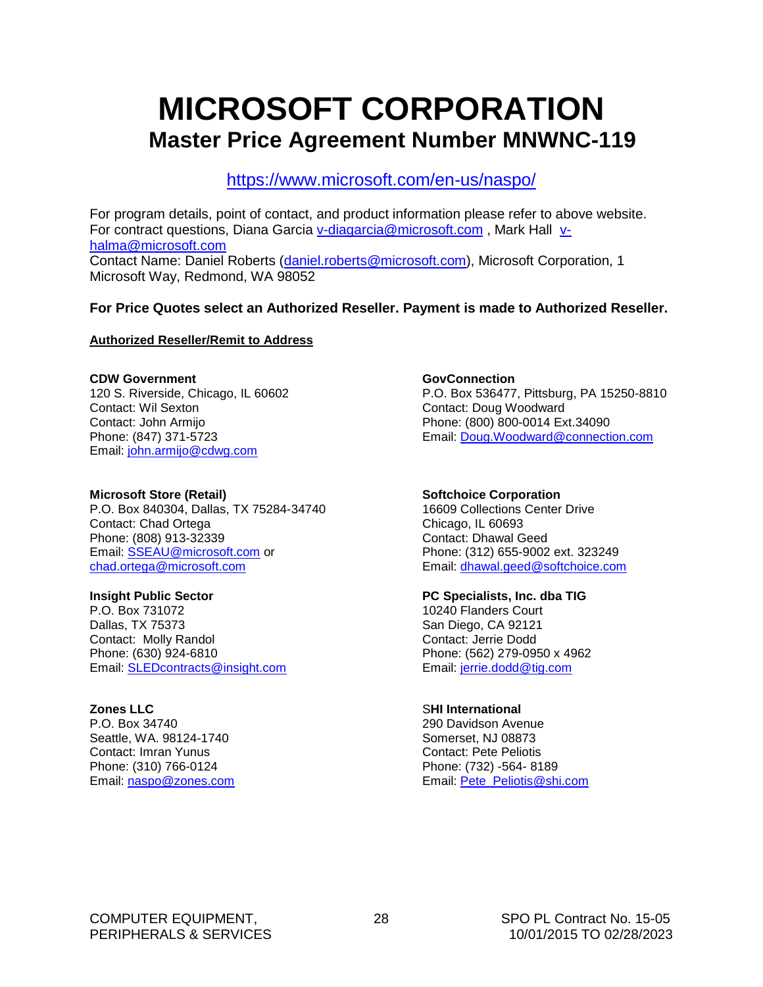## <span id="page-29-0"></span>**MICROSOFT CORPORATION Master Price Agreement Number MNWNC-119**

<https://www.microsoft.com/en-us/naspo/>

For program details, point of contact, and product information please refer to above website. For contract questions, Diana Garcia [v-diagarcia@microsoft.com](mailto:v-diagarcia@microsoft.com), Mark Hall [v](mailto:v-halma@microsoft.com)[halma@microsoft.com](mailto:v-halma@microsoft.com) Contact Name: Daniel Roberts [\(daniel.roberts@microsoft.com\)](mailto:daniel.roberts@microsoft.com), Microsoft Corporation, 1 Microsoft Way, Redmond, WA 98052

#### **For Price Quotes select an Authorized Reseller. Payment is made to Authorized Reseller.**

#### **Authorized Reseller/Remit to Address**

#### **CDW Government**

120 S. Riverside, Chicago, IL 60602 Contact: Wil Sexton Contact: John Armijo Phone: (847) 371-5723 Email: [john.armijo@cdwg.com](mailto:john.armijo@cdwg.com) 

#### **Microsoft Store (Retail)**

P.O. Box 840304, Dallas, TX 75284-34740 Contact: Chad Ortega Phone: (808) 913-32339 Email: [SSEAU@microsoft.com](mailto:SSEAU@microsoft.com) or [chad.ortega@microsoft.com](mailto:chad.ortega@microsoft.com)

#### **Insight Public Sector**

P.O. Box 731072 Dallas, TX 75373 Contact: Molly Randol Phone: (630) 924-6810 Email: [SLEDcontracts@insight.com](mailto:SLEDcontracts@insight.com)

#### **Zones LLC**

P.O. Box 34740 Seattle, WA. 98124-1740 Contact: Imran Yunus Phone: (310) 766-0124 Email: [naspo@zones.com](mailto:naspo@zones.com)

#### **GovConnection**

P.O. Box 536477, Pittsburg, PA 15250-8810 Contact: Doug Woodward Phone: (800) 800-0014 Ext.34090 Email: [Doug.Woodward@connection.com](mailto:Doug.Woodward@connection.com)

#### **Softchoice Corporation**

16609 Collections Center Drive Chicago, IL 60693 Contact: Dhawal Geed Phone: (312) 655-9002 ext. 323249 Email: [dhawal.geed@softchoice.com](mailto:dhawal.geed@softchoice.com) 

#### **PC Specialists, Inc. dba TIG**

10240 Flanders Court San Diego, CA 92121 Contact: Jerrie Dodd Phone: (562) 279-0950 x 4962 Email: [jerrie.dodd@tig.com](mailto:jerrie.dodd@tig.com)

#### S**HI International**

290 Davidson Avenue Somerset, NJ 08873 Contact: Pete Peliotis Phone: (732) -564- 8189 Email: [Pete\\_Peliotis@shi.com](mailto:Pete_Peliotis@shi.com)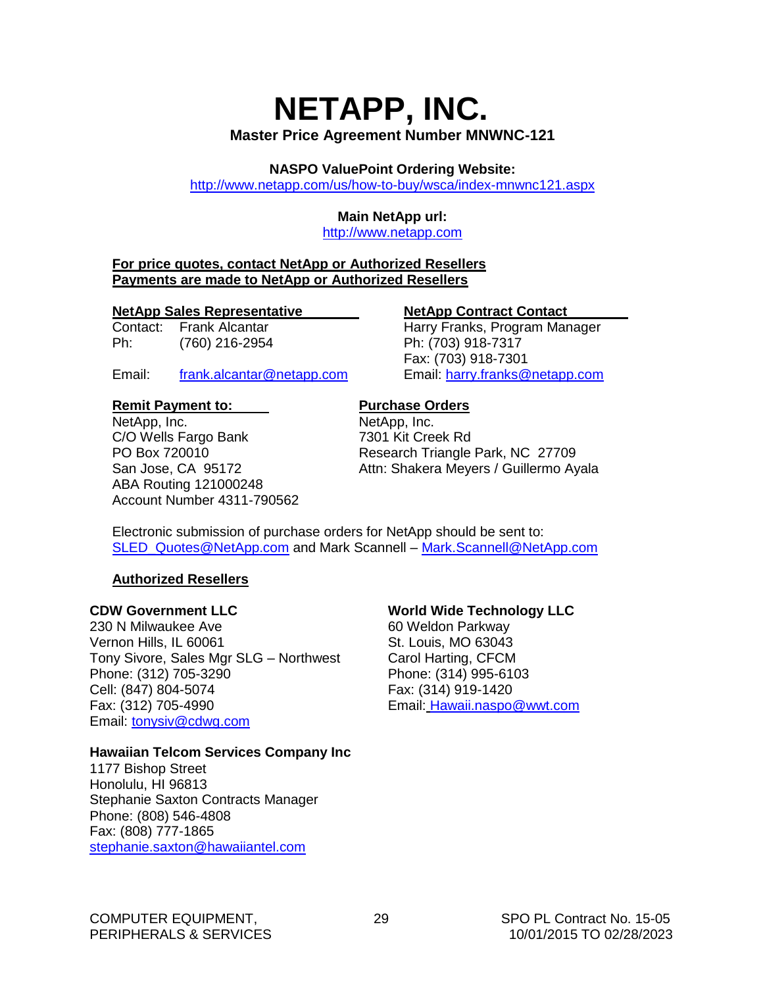## <span id="page-30-0"></span>**NETAPP, INC. Master Price Agreement Number MNWNC-121**

**NASPO ValuePoint Ordering Website:**

<http://www.netapp.com/us/how-to-buy/wsca/index-mnwnc121.aspx>

#### **Main NetApp url:**

[http://www.netapp.com](http://www.netapp.com/)

#### **For price quotes, contact NetApp or Authorized Resellers Payments are made to NetApp or Authorized Resellers**

#### **NetApp Sales Representative NetApp Contract Contact**

Ph: (760) 216-2954 Ph: (703) 918-7317

Email: [frank.alcantar@netapp.com](mailto:frank.alcantar@netapp.com) Email: [harry.franks@netapp.com](mailto:harry.franks@netapp.com)

#### **Remit Payment to:** Purchase Orders

NetApp, Inc. NetApp, Inc. C/O Wells Fargo Bank 7301 Kit Creek Rd ABA Routing 121000248 Account Number 4311-790562

Contact: Frank Alcantar **Harry Franks, Program Manager** Fax: (703) 918-7301

PO Box 720010 Research Triangle Park, NC 27709 San Jose, CA 95172 Attn: Shakera Meyers / Guillermo Ayala

Electronic submission of purchase orders for NetApp should be sent to: [SLED\\_Quotes@NetApp.com](mailto:SLED_Quotes@NetApp.com) and Mark Scannell – [Mark.Scannell@NetApp.com](mailto:Mark.Scannell@NetApp.com)

#### **Authorized Resellers**

#### **CDW Government LLC**

230 N Milwaukee Ave Vernon Hills, IL 60061 Tony Sivore, Sales Mgr SLG – Northwest Phone: (312) 705-3290 Cell: (847) 804-5074 Fax: (312) 705-4990 Email: [tonysiv@cdwg.com](mailto:tonysiv@cdwg.com)

#### **Hawaiian Telcom Services Company Inc**

1177 Bishop Street Honolulu, HI 96813 Stephanie Saxton Contracts Manager Phone: (808) 546-4808 Fax: (808) 777-1865 [stephanie.saxton@hawaiiantel.com](mailto:stephanie.saxton@hawaiiantel.com)

#### **World Wide Technology LLC**

60 Weldon Parkway St. Louis, MO 63043 Carol Harting, CFCM Phone: (314) 995-6103 Fax: (314) 919-1420 Email: [Hawaii.naspo@wwt.com](mailto:Hawaii.naspo@wwt.com)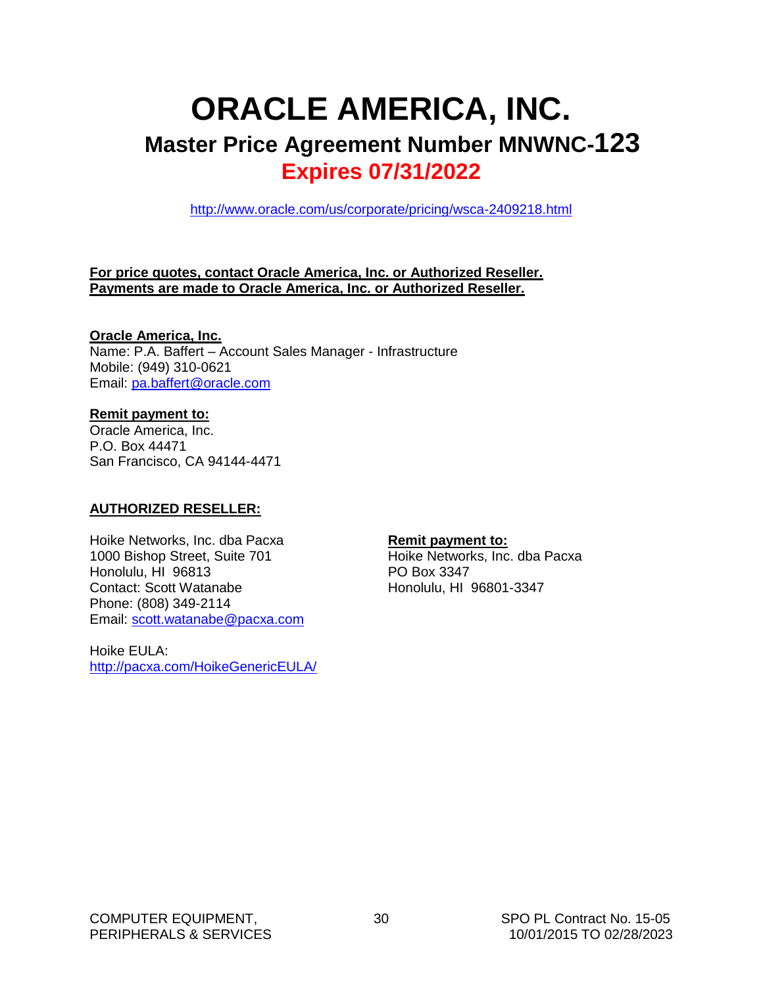## <span id="page-31-0"></span>**ORACLE AMERICA, INC. Master Price Agreement Number MNWNC-123 Expires 07/31/2022**

<http://www.oracle.com/us/corporate/pricing/wsca-2409218.html>

#### **For price quotes, contact Oracle America, Inc. or Authorized Reseller. Payments are made to Oracle America, Inc. or Authorized Reseller.**

#### **Oracle America, Inc.**

Name: P.A. Baffert – Account Sales Manager - Infrastructure Mobile: (949) 310-0621 Email: [pa.baffert@oracle.com](mailto:pa.baffert@oracle.com)

#### **Remit payment to:**

Oracle America, Inc. P.O. Box 44471 San Francisco, CA 94144-4471

#### **AUTHORIZED RESELLER:**

Hoike Networks, Inc. dba Pacxa 1000 Bishop Street, Suite 701 Honolulu, HI 96813 Contact: Scott Watanabe Phone: (808) 349-2114 Email: [scott.watanabe@pacxa.com](mailto:scott.watanabe@pacxa.com)

Hoike EULA: <http://pacxa.com/HoikeGenericEULA/>

#### **Remit payment to:**

Hoike Networks, Inc. dba Pacxa PO Box 3347 Honolulu, HI 96801-3347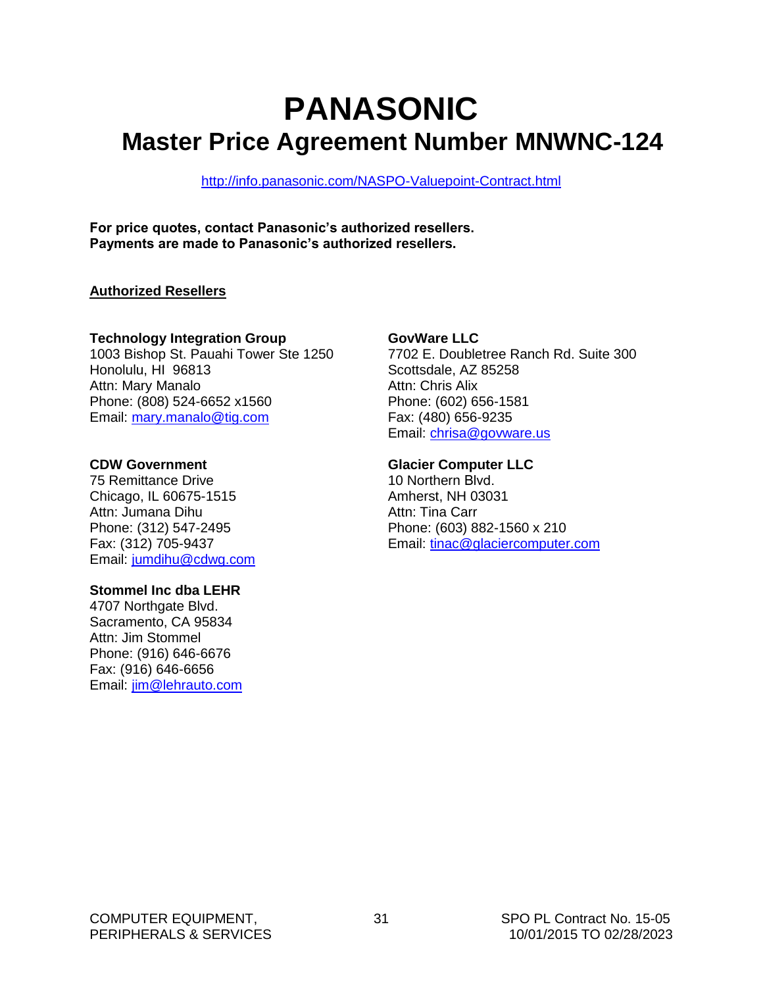# **PANASONIC Master Price Agreement Number MNWNC-124**

<http://info.panasonic.com/NASPO-Valuepoint-Contract.html>

**For price quotes, contact Panasonic's authorized resellers. Payments are made to Panasonic's authorized resellers.**

#### **Authorized Resellers**

#### **Technology Integration Group**

1003 Bishop St. Pauahi Tower Ste 1250 Honolulu, HI 96813 Attn: Mary Manalo Phone: (808) 524-6652 x1560 Email: [mary.manalo@tig.com](mailto:mary.manalo@tig.com)

#### **CDW Government**

75 Remittance Drive Chicago, IL 60675-1515 Attn: Jumana Dihu Phone: (312) 547-2495 Fax: (312) 705-9437 Email: [jumdihu@cdwg.com](mailto:jumdihu@cdwg.com)

#### **Stommel Inc dba LEHR**

4707 Northgate Blvd. Sacramento, CA 95834 Attn: Jim Stommel Phone: (916) 646-6676 Fax: (916) 646-6656 Email: [jim@lehrauto.com](mailto:jim@lehrauto.com)

#### **GovWare LLC**

7702 E. Doubletree Ranch Rd. Suite 300 Scottsdale, AZ 85258 Attn: Chris Alix Phone: (602) 656-1581 Fax: (480) 656-9235 Email: [chrisa@govware.us](mailto:chrisa@govware.us)

#### **Glacier Computer LLC**

10 Northern Blvd.  Amherst, NH 03031 Attn: Tina Carr Phone: (603) 882-1560 x 210 Email: [tinac@glaciercomputer.com](mailto:tinac@glaciercomputer.com)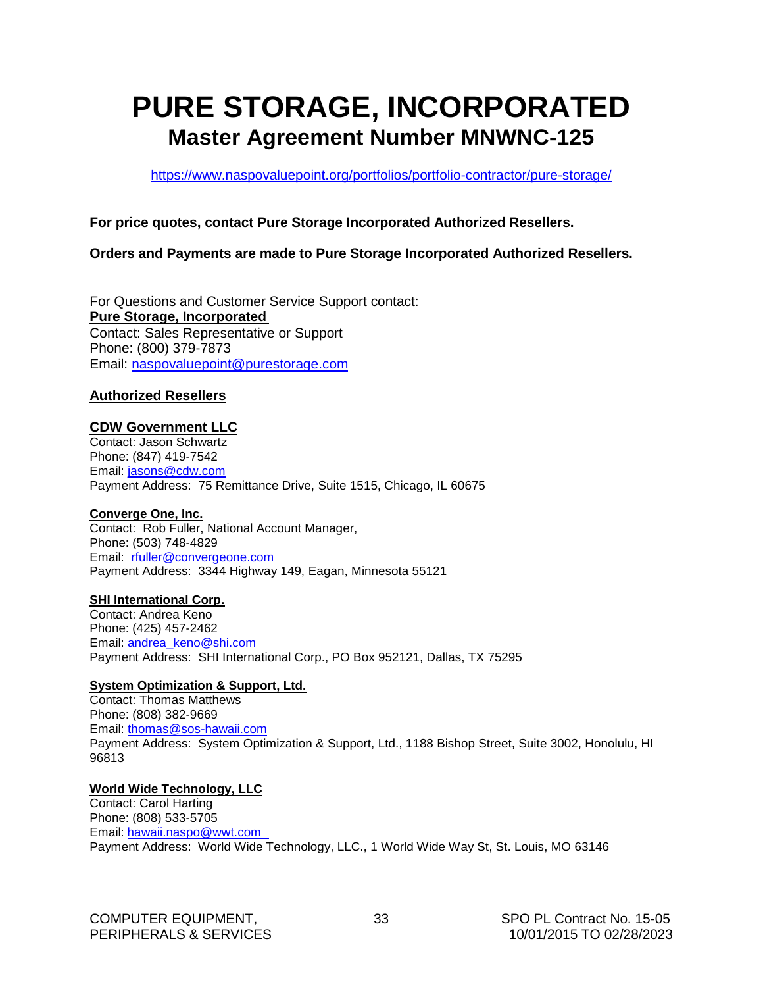## <span id="page-34-0"></span>**PURE STORAGE, INCORPORATED Master Agreement Number MNWNC-125**

<https://www.naspovaluepoint.org/portfolios/portfolio-contractor/pure-storage/>

#### **For price quotes, contact Pure Storage Incorporated Authorized Resellers.**

#### **Orders and Payments are made to Pure Storage Incorporated Authorized Resellers.**

For Questions and Customer Service Support contact: **Pure Storage, Incorporated** Contact: Sales Representative or Support Phone: (800) 379-7873 Email: [naspovaluepoint@purestorage.com](mailto:naspovaluepoint@purestorage.com)

#### **Authorized Resellers**

#### **CDW Government LLC**

Contact: Jason Schwartz Phone: (847) 419-7542 Email: [jasons@cdw.com](mailto:jasons@cdw.com) Payment Address: 75 Remittance Drive, Suite 1515, Chicago, IL 60675

#### **Converge One, Inc.**

Contact: Rob Fuller, National Account Manager, Phone: (503) 748-4829 Email: [rfuller@convergeone.com](mailto:rfuller@convergeone.com) Payment Address: 3344 Highway 149, Eagan, Minnesota 55121

#### **SHI International Corp.**

Contact: Andrea Keno Phone: (425) 457-2462 Email: [andrea\\_keno@shi.com](mailto:andrea_keno@shi.com) Payment Address: SHI International Corp., PO Box 952121, Dallas, TX 75295

#### **System Optimization & Support, Ltd.**

Contact: Thomas Matthews Phone: (808) 382-9669 Email: [thomas@sos-hawaii.com](mailto:thomas@sos-hawaii.com) Payment Address: System Optimization & Support, Ltd., 1188 Bishop Street, Suite 3002, Honolulu, HI 96813

#### **World Wide Technology, LLC**

Contact: Carol Harting Phone: (808) 533-5705 Email: [hawaii.naspo@wwt.com](http://hawaii.naspo@wwt.com) Payment Address: World Wide Technology, LLC., 1 World Wide Way St, St. Louis, MO 63146